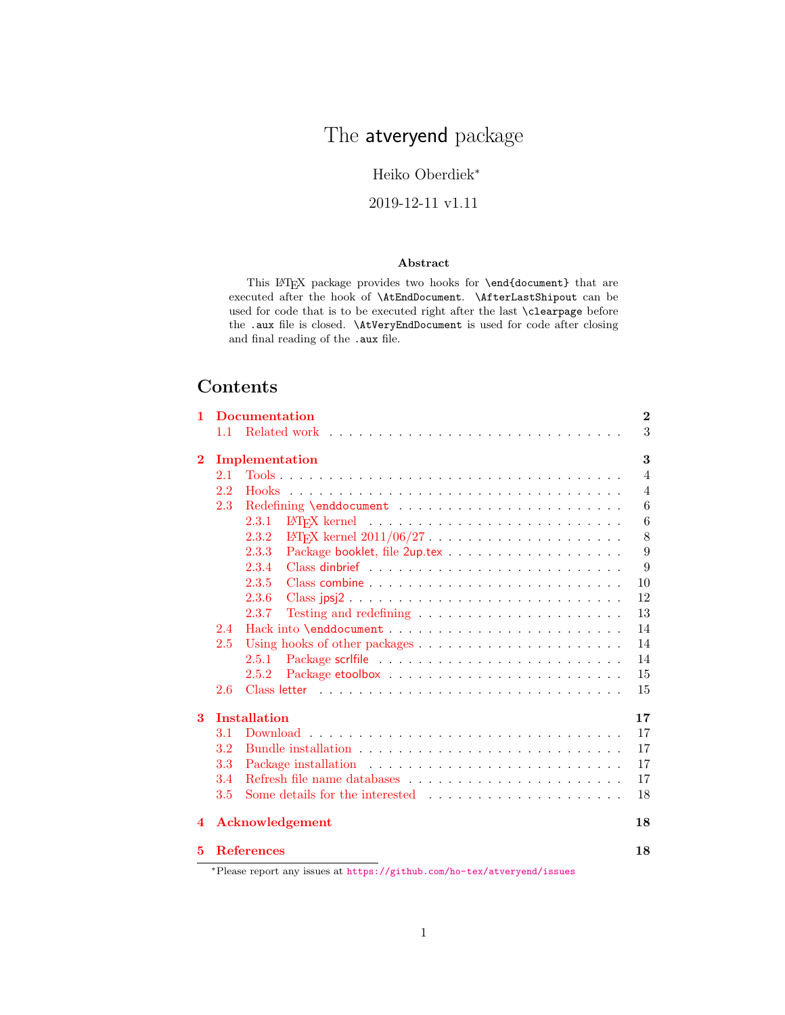# The atveryend package

## Heiko Oberdiek<sup>∗</sup>

#### 2019-12-11 v1.11

#### Abstract

This LAT<sub>E</sub>X package provides two hooks for **\end{document}** that are executed after the hook of \AtEndDocument. \AfterLastShipout can be used for code that is to be executed right after the last \clearpage before the .aux file is closed. \AtVeryEndDocument is used for code after closing and final reading of the .aux file.

# Contents

| 1        |                    | <b>Documentation</b>                                                                                                                                                                           | $\overline{2}$ |
|----------|--------------------|------------------------------------------------------------------------------------------------------------------------------------------------------------------------------------------------|----------------|
|          |                    |                                                                                                                                                                                                | 3              |
| $\bf{2}$ |                    | Implementation                                                                                                                                                                                 | 3              |
|          | 2.1                |                                                                                                                                                                                                | $\overline{4}$ |
|          | 2.2                |                                                                                                                                                                                                | $\overline{4}$ |
|          | 2.3                |                                                                                                                                                                                                | 6              |
|          |                    | 2.3.1                                                                                                                                                                                          | 6              |
|          |                    | 2.3.2                                                                                                                                                                                          | 8              |
|          |                    | 2.3.3                                                                                                                                                                                          | 9              |
|          |                    | 2.3.4                                                                                                                                                                                          | 9              |
|          |                    | 2.3.5                                                                                                                                                                                          | 10             |
|          |                    | 2.3.6<br>Class jpsj2                                                                                                                                                                           | 12             |
|          |                    | 2.3.7                                                                                                                                                                                          | 13             |
|          | 2.4                |                                                                                                                                                                                                | 14             |
|          | 2.5                |                                                                                                                                                                                                | 14             |
|          |                    | 2.5.1                                                                                                                                                                                          | 14             |
|          |                    | 2.5.2                                                                                                                                                                                          | 15             |
|          | 2.6                |                                                                                                                                                                                                | 15             |
| 3        |                    | <b>Installation</b>                                                                                                                                                                            | 17             |
|          | 3.1                |                                                                                                                                                                                                | 17             |
|          | $3.2\,$            |                                                                                                                                                                                                | 17             |
|          | 3.3                |                                                                                                                                                                                                | 17             |
|          | 3.4                |                                                                                                                                                                                                | 17             |
|          | 3.5                |                                                                                                                                                                                                | 18             |
| 4        |                    | Acknowledgement                                                                                                                                                                                | 18             |
| 5        | $*$ D <sub>1</sub> | <b>References</b><br>$\mathcal{L} = \mathcal{L} \mathcal{L} = \mathcal{L} \mathcal{L} = \mathcal{L} \mathcal{L}$ , and the contract of the contract of $\mathcal{L} = \mathcal{L} \mathcal{L}$ | 18             |

<sup>∗</sup>Please report any issues at <https://github.com/ho-tex/atveryend/issues>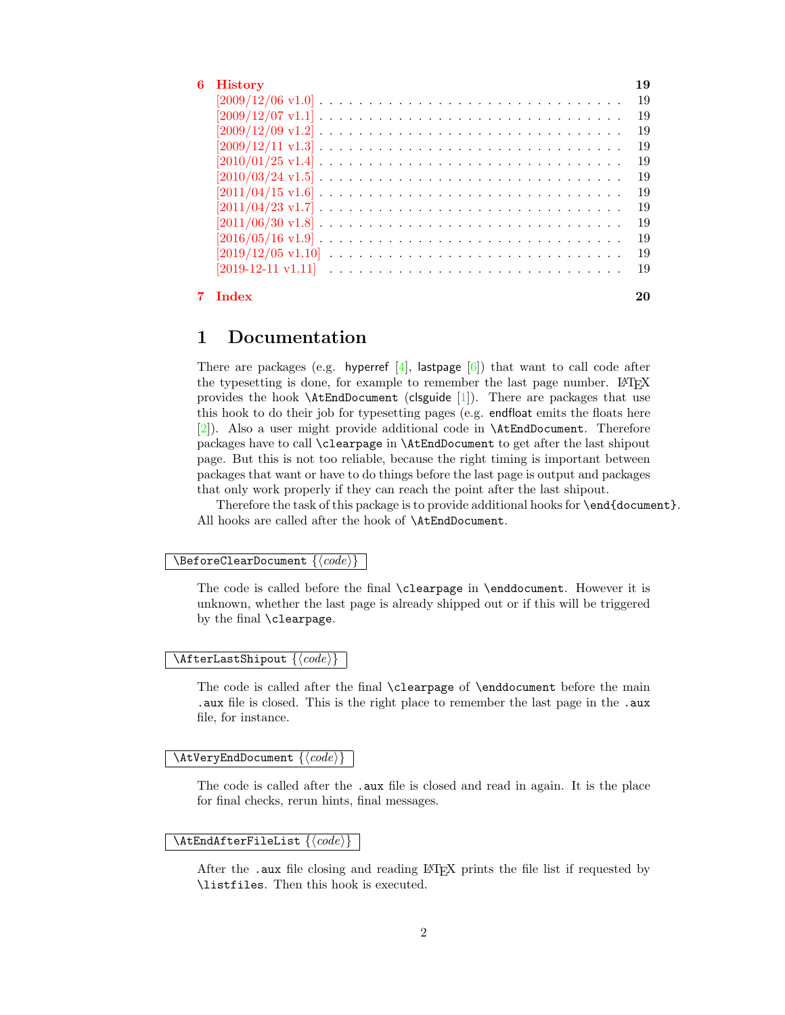| 6 History                                                                                                              | 19 |
|------------------------------------------------------------------------------------------------------------------------|----|
| $[2009/12/06 \text{ v}1.0] \ldots \ldots \ldots \ldots \ldots \ldots \ldots \ldots \ldots \ldots \ldots$               | 19 |
| $[2009/12/07 \text{ v}1.1] \ldots \ldots \ldots \ldots \ldots \ldots \ldots \ldots \ldots \ldots \ldots \ldots \ldots$ | 19 |
| $[2009/12/09 \text{ v}1.2] \ldots \ldots \ldots \ldots \ldots \ldots \ldots \ldots \ldots \ldots \ldots \ldots$        | 19 |
|                                                                                                                        | 19 |
| $[2010/01/25 \text{ v}1.4] \ldots \ldots \ldots \ldots \ldots \ldots \ldots \ldots \ldots \ldots \ldots \ldots \ldots$ | 19 |
|                                                                                                                        | 19 |
|                                                                                                                        | 19 |
|                                                                                                                        | 19 |
|                                                                                                                        | 19 |
|                                                                                                                        | 19 |
|                                                                                                                        | 19 |
|                                                                                                                        | 19 |
| 7 Index                                                                                                                |    |

## <span id="page-1-0"></span>1 Documentation

There are packages (e.g. hyperref  $[4]$ , lastpage  $[6]$ ) that want to call code after the typesetting is done, for example to remember the last page number. LAT<sub>EX</sub> provides the hook  $\Lambda t$ EndDocument (clsguide [\[1\]](#page-17-5)). There are packages that use this hook to do their job for typesetting pages (e.g. endfloat emits the floats here [\[2\]](#page-17-6)). Also a user might provide additional code in \AtEndDocument. Therefore packages have to call \clearpage in \AtEndDocument to get after the last shipout page. But this is not too reliable, because the right timing is important between packages that want or have to do things before the last page is output and packages that only work properly if they can reach the point after the last shipout.

Therefore the task of this package is to provide additional hooks for \end{document}. All hooks are called after the hook of \AtEndDocument.

#### <span id="page-1-4"></span> $\Bbb \Omega \$

The code is called before the final \clearpage in \enddocument. However it is unknown, whether the last page is already shipped out or if this will be triggered by the final \clearpage.

#### <span id="page-1-1"></span> $\{AfterLastShipout \}$

The code is called after the final \clearpage of \enddocument before the main .aux file is closed. This is the right place to remember the last page in the .aux file, for instance.

#### <span id="page-1-3"></span> $\{x \in \{code\}$

The code is called after the .aux file is closed and read in again. It is the place for final checks, rerun hints, final messages.

#### <span id="page-1-2"></span> $\{AtEndAfterFileList\}$

After the .aux file closing and reading LATEX prints the file list if requested by \listfiles. Then this hook is executed.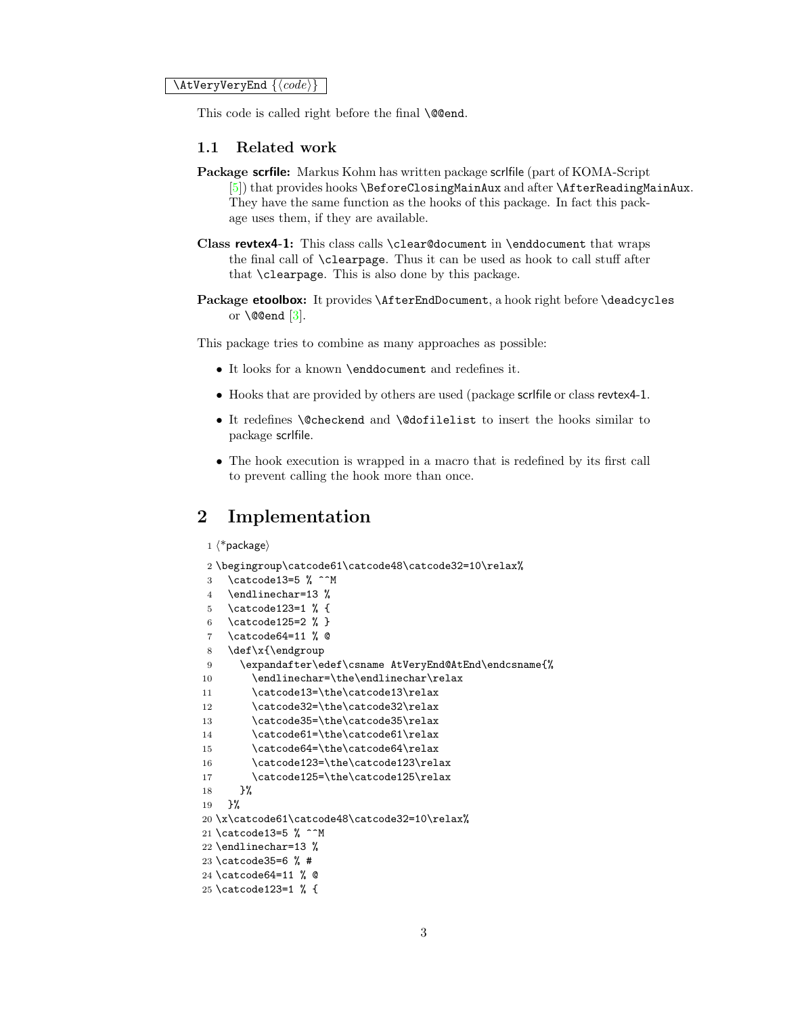<span id="page-2-2"></span> $\{X_t\}$  \AtVeryVeryEnd  $\{ \langle code \rangle \}$ 

This code is called right before the final **\@@end.** 

#### <span id="page-2-0"></span>1.1 Related work

- Package scrfile: Markus Kohm has written package scrlfile (part of KOMA-Script [\[5\]](#page-17-7)) that provides hooks \BeforeClosingMainAux and after \AfterReadingMainAux. They have the same function as the hooks of this package. In fact this package uses them, if they are available.
- Class revtex4-1: This class calls \clear@document in \enddocument that wraps the final call of \clearpage. Thus it can be used as hook to call stuff after that \clearpage. This is also done by this package.
- Package etoolbox: It provides *\AfterEndDocument*, a hook right before *\deadcycles* or  $\text{Q\$ end } [\[3\]](#page-17-8).

This package tries to combine as many approaches as possible:

- It looks for a known \enddocument and redefines it.
- Hooks that are provided by others are used (package scrlfile or class revtex4-1.
- It redefines \@checkend and \@dofilelist to insert the hooks similar to package scrlfile.
- The hook execution is wrapped in a macro that is redefined by its first call to prevent calling the hook more than once.

## <span id="page-2-1"></span>2 Implementation

```
1 \langle*package\rangle
```

```
2 \begingroup\catcode61\catcode48\catcode32=10\relax%
```

```
3 \catcode13=5 % ^^M
4 \endlinechar=13 %
5 \catcode123=1 % {
6 \catcode125=2 % }
7 \catcode64=11 % @
8 \def\x{\endgroup
9 \expandafter\edef\csname AtVeryEnd@AtEnd\endcsname{%
10 \endlinechar=\the\endlinechar\relax
11 \catcode13=\the\catcode13\relax
12 \catcode32=\the\catcode32\relax
13 \catcode35=\the\catcode35\relax
14 \catcode61=\the\catcode61\relax
15 \catcode64=\the\catcode64\relax
16 \catcode123=\the\catcode123\relax
17 \catcode125=\the\catcode125\relax
18 }%
19 }%
20 \x\catcode61\catcode48\catcode32=10\relax%
21 \catcode13=5 % ^^M
22 \endlinechar=13 %
23 \catcode35=6 % #
24 \catcode64=11 % @
25 \catcode123=1 % {
```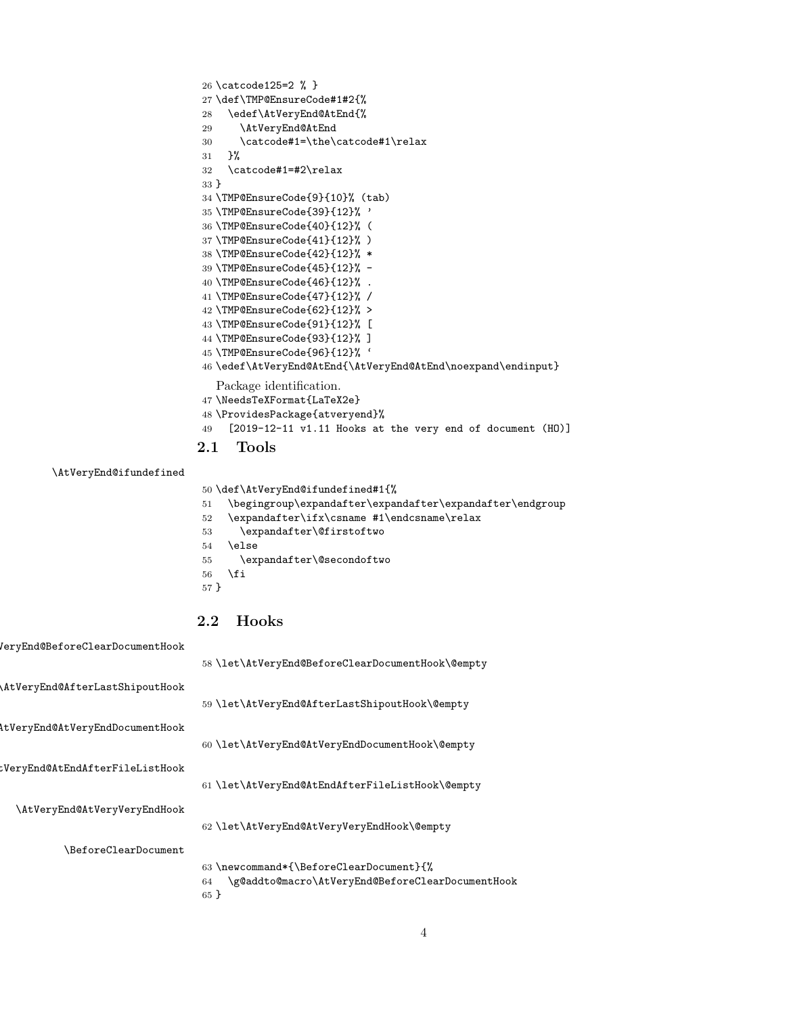```
26 \catcode125=2 % }
27 \def\TMP@EnsureCode#1#2{%
28 \edef\AtVeryEnd@AtEnd{%
29 \AtVeryEnd@AtEnd
30 \catcode#1=\the\catcode#1\relax
31 }%
32 \catcode#1=#2\relax
33 }
34 \TMP@EnsureCode{9}{10}% (tab)
35 \TMP@EnsureCode{39}{12}% '
36 \TMP@EnsureCode{40}{12}% (
37 \TMP@EnsureCode{41}{12}% )
38 \TMP@EnsureCode{42}{12}% *
39 \TMP@EnsureCode{45}{12}% -
40 \TMP@EnsureCode{46}{12}% .
41 \TMP@EnsureCode{47}{12}% /
42 \TMP@EnsureCode{62}{12}% >
43 \TMP@EnsureCode{91}{12}% [
44 \TMP@EnsureCode{93}{12}% ]
45 \TMP@EnsureCode{96}{12}% '
46 \edef\AtVeryEnd@AtEnd{\AtVeryEnd@AtEnd\noexpand\endinput}
   Package identification.
47 \NeedsTeXFormat{LaTeX2e}
48 \ProvidesPackage{atveryend}%
49 [2019-12-11 v1.11 Hooks at the very end of document (HO)]
2.1 Tools
```

```
\AtVeryEnd@ifundefined
```
<span id="page-3-39"></span><span id="page-3-38"></span><span id="page-3-37"></span><span id="page-3-36"></span><span id="page-3-35"></span><span id="page-3-26"></span><span id="page-3-24"></span><span id="page-3-12"></span><span id="page-3-0"></span>\def\AtVeryEnd@ifundefined#1{%

- \begingroup\expandafter\expandafter\expandafter\endgroup
- <span id="page-3-23"></span>\expandafter\ifx\csname #1\endcsname\relax
- <span id="page-3-7"></span>\expandafter\@firstoftwo
- \else
- <span id="page-3-8"></span>\expandafter\@secondoftwo
- \fi
- }

## <span id="page-3-4"></span><span id="page-3-3"></span><span id="page-3-2"></span><span id="page-3-1"></span>2.2 Hooks

<span id="page-3-16"></span><span id="page-3-15"></span><span id="page-3-14"></span><span id="page-3-13"></span><span id="page-3-9"></span>

| eryEnd@BeforeClearDocumentHook  |                                                        |
|---------------------------------|--------------------------------------------------------|
|                                 | 58 \let\AtVeryEnd@BeforeClearDocumentHook\@empty       |
| AtVeryEnd@AfterLastShipoutHook  |                                                        |
|                                 | 59 \let\AtVeryEnd@AfterLastShipoutHook\@empty          |
| AtVeryEnd@AtVeryEndDocumentHook |                                                        |
|                                 | 60 \let\AtVeryEnd@AtVeryEndDocumentHook\@empty         |
| :VeryEnd@AtEndAfterFileListHook |                                                        |
|                                 | 61 \let\AtVeryEnd@AtEndAfterFileListHook\@empty        |
| \AtVeryEnd@AtVeryVeryEndHook    |                                                        |
|                                 | 62 \let\AtVeryEnd@AtVeryVeryEndHook\@empty             |
| \BeforeClearDocument            |                                                        |
|                                 | 63 \newcommand*{\BeforeClearDocument}{%                |
|                                 | \g@addto@macro\AtVeryEnd@BeforeClearDocumentHook<br>64 |

<span id="page-3-25"></span><span id="page-3-19"></span><span id="page-3-17"></span><span id="page-3-6"></span><span id="page-3-5"></span>}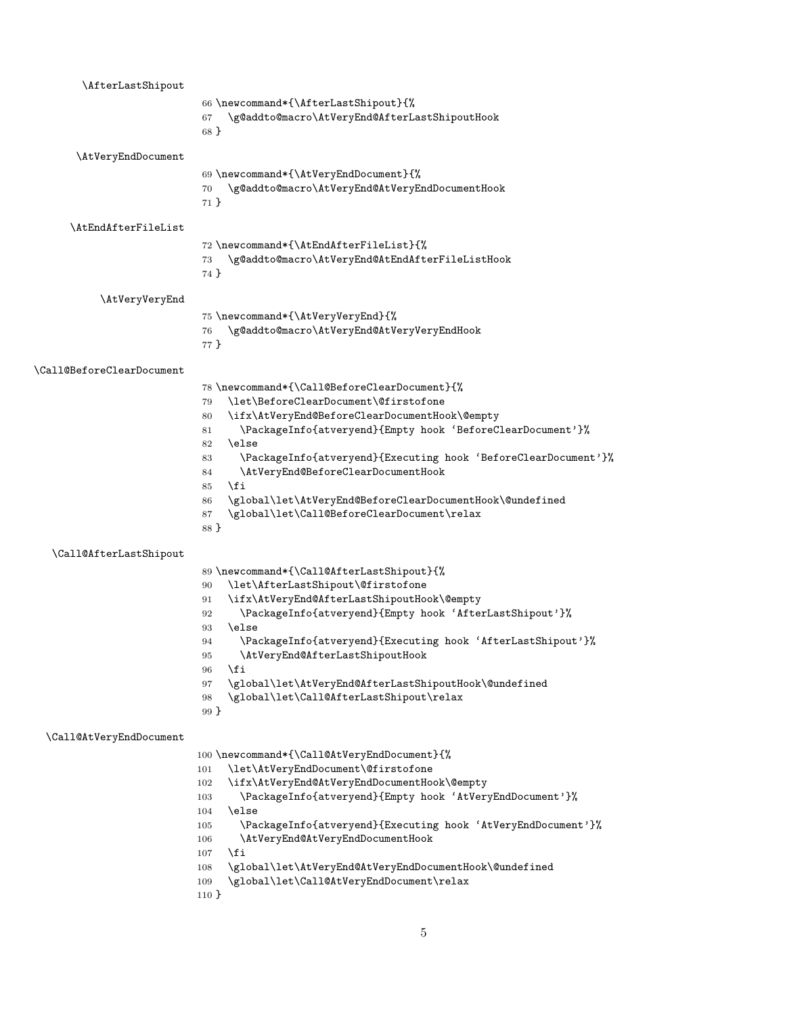<span id="page-4-35"></span><span id="page-4-34"></span><span id="page-4-33"></span><span id="page-4-32"></span><span id="page-4-31"></span><span id="page-4-30"></span><span id="page-4-29"></span><span id="page-4-28"></span><span id="page-4-27"></span><span id="page-4-26"></span><span id="page-4-25"></span><span id="page-4-24"></span><span id="page-4-23"></span><span id="page-4-22"></span><span id="page-4-21"></span><span id="page-4-20"></span><span id="page-4-19"></span><span id="page-4-18"></span><span id="page-4-17"></span><span id="page-4-16"></span><span id="page-4-15"></span><span id="page-4-14"></span><span id="page-4-13"></span><span id="page-4-12"></span><span id="page-4-11"></span><span id="page-4-10"></span><span id="page-4-9"></span><span id="page-4-8"></span><span id="page-4-7"></span><span id="page-4-6"></span><span id="page-4-5"></span><span id="page-4-4"></span><span id="page-4-3"></span><span id="page-4-2"></span><span id="page-4-1"></span><span id="page-4-0"></span>

| \AfterLastShipout         |                                                                                                                   |
|---------------------------|-------------------------------------------------------------------------------------------------------------------|
|                           | 66 \newcommand*{\AfterLastShipout}{%                                                                              |
|                           | \g@addto@macro\AtVeryEnd@AfterLastShipoutHook<br>67<br>68 }                                                       |
|                           |                                                                                                                   |
| \AtVeryEndDocument        |                                                                                                                   |
|                           | 69 \newcommand*{\AtVeryEndDocument}{%                                                                             |
|                           | \g@addto@macro\AtVeryEnd@AtVeryEndDocumentHook<br>70                                                              |
|                           | $71$ }                                                                                                            |
| \AtEndAfterFileList       |                                                                                                                   |
|                           | 72 \newcommand*{\AtEndAfterFileList}{%                                                                            |
|                           | \g@addto@macro\AtVeryEnd@AtEndAfterFileListHook<br>73                                                             |
|                           | 74 }                                                                                                              |
| \AtVeryVeryEnd            |                                                                                                                   |
|                           | 75 \newcommand*{\AtVeryVeryEnd}{%                                                                                 |
|                           | \g@addto@macro\AtVeryEnd@AtVeryVeryEndHook<br>76                                                                  |
|                           | 77 }                                                                                                              |
|                           |                                                                                                                   |
| \Call@BeforeClearDocument |                                                                                                                   |
|                           | 78 \newcommand*{\Call@BeforeClearDocument}{%<br>\let\BeforeClearDocument\@firstofone<br>79                        |
|                           | \ifx\AtVeryEnd@BeforeClearDocumentHook\@empty<br>80                                                               |
|                           | \PackageInfo{atveryend}{Empty hook 'BeforeClearDocument'}%<br>81                                                  |
|                           | \else<br>82                                                                                                       |
|                           | \PackageInfo{atveryend}{Executing hook 'BeforeClearDocument'}%<br>83                                              |
|                           | \AtVeryEnd@BeforeClearDocumentHook<br>84                                                                          |
|                           | \fi<br>85                                                                                                         |
|                           | \global\let\AtVeryEnd@BeforeClearDocumentHook\@undefined<br>86                                                    |
|                           | \global\let\Call@BeforeClearDocument\relax<br>87<br>88 }                                                          |
|                           |                                                                                                                   |
| \Call@AfterLastShipout    |                                                                                                                   |
|                           | 89 \newcommand*{\Call@AfterLastShipout}{%                                                                         |
|                           | \let\AfterLastShipout\@firstofone<br>90                                                                           |
|                           | \ifx\AtVeryEnd@AfterLastShipoutHook\@empty<br>91<br>\PackageInfo{atveryend}{Empty hook 'AfterLastShipout'}%<br>92 |
|                           | \else<br>93                                                                                                       |
|                           | \PackageInfo{atveryend}{Executing hook 'AfterLastShipout'}%<br>94                                                 |
|                           | \AtVeryEnd@AfterLastShipoutHook<br>95                                                                             |
|                           | \fi<br>96                                                                                                         |
|                           | \global\let\AtVeryEnd@AfterLastShipoutHook\@undefined<br>97                                                       |
|                           | \global\let\Call@AfterLastShipout\relax<br>98                                                                     |
|                           | 99 }                                                                                                              |
| \Call@AtVeryEndDocument   |                                                                                                                   |
|                           | 100 \newcommand*{\Call@AtVeryEndDocument}{%                                                                       |
|                           | \let\AtVeryEndDocument\@firstofone<br>101                                                                         |
|                           | \ifx\AtVeryEnd@AtVeryEndDocumentHook\@empty<br>102                                                                |
|                           | \PackageInfo{atveryend}{Empty hook 'AtVeryEndDocument'}%<br>103                                                   |
|                           | \else<br>104<br>\PackageInfo{atveryend}{Executing hook 'AtVeryEndDocument'}%<br>105                               |
|                           | \AtVeryEnd@AtVeryEndDocumentHook<br>106                                                                           |
|                           | \fi<br>107                                                                                                        |
|                           | \global\let\AtVeryEnd@AtVeryEndDocumentHook\@undefined<br>108                                                     |
|                           | \global\let\Call@AtVeryEndDocument\relax<br>109                                                                   |
|                           | $110 \}$                                                                                                          |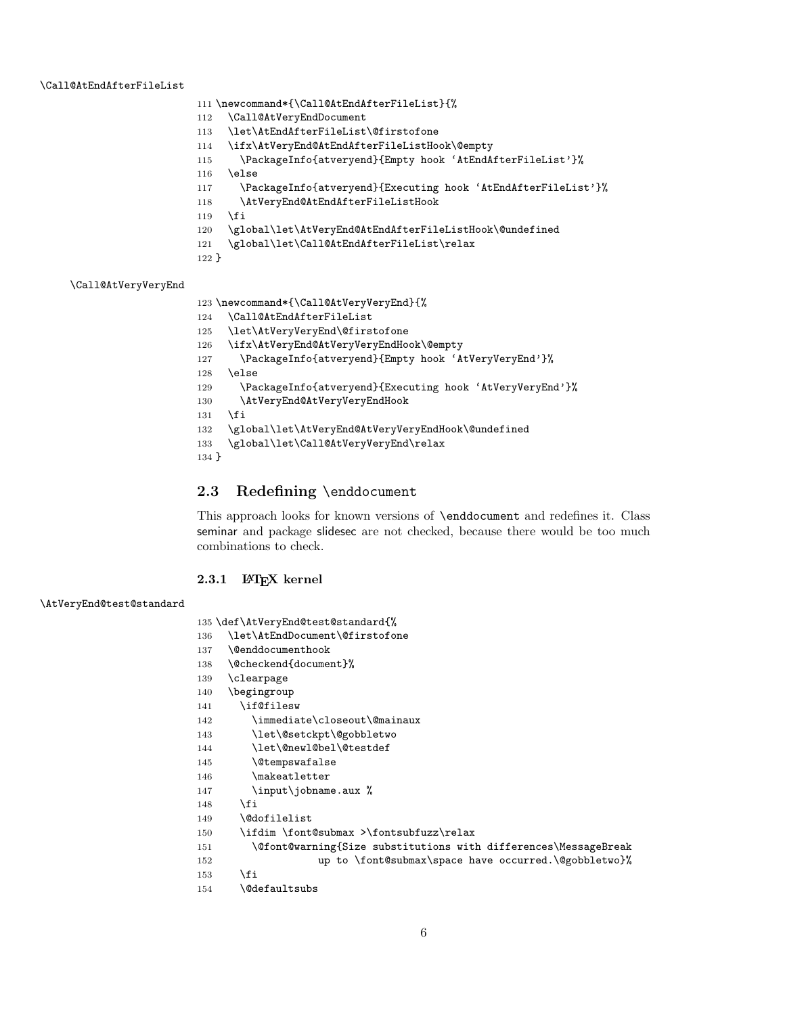#### <span id="page-5-22"></span>\Call@AtEndAfterFileList

- <span id="page-5-31"></span>\newcommand\*{\Call@AtEndAfterFileList}{%
- <span id="page-5-24"></span>\Call@AtVeryEndDocument
- <span id="page-5-8"></span>\let\AtEndAfterFileList\@firstofone
- <span id="page-5-5"></span>\ifx\AtVeryEnd@AtEndAfterFileListHook\@empty
- <span id="page-5-33"></span>\PackageInfo{atveryend}{Empty hook 'AtEndAfterFileList'}%
- \else
- <span id="page-5-34"></span>\PackageInfo{atveryend}{Executing hook 'AtEndAfterFileList'}%
- <span id="page-5-19"></span>\AtVeryEnd@AtEndAfterFileListHook
- \fi
- <span id="page-5-17"></span>\global\let\AtVeryEnd@AtEndAfterFileListHook\@undefined
- \global\let\Call@AtEndAfterFileList\relax
- }

#### <span id="page-5-25"></span>\Call@AtVeryVeryEnd

<span id="page-5-32"></span>\newcommand\*{\Call@AtVeryVeryEnd}{%

- <span id="page-5-23"></span>\Call@AtEndAfterFileList
- <span id="page-5-9"></span>\let\AtVeryVeryEnd\@firstofone
- <span id="page-5-6"></span>\ifx\AtVeryEnd@AtVeryVeryEndHook\@empty
- <span id="page-5-35"></span>\PackageInfo{atveryend}{Empty hook 'AtVeryVeryEnd'}%
- \else
- <span id="page-5-36"></span>129 \PackageInfo{atveryend}{Executing hook 'AtVeryVeryEnd'}%
- <span id="page-5-20"></span>\AtVeryEnd@AtVeryVeryEndHook
- \fi
- <span id="page-5-18"></span>\global\let\AtVeryEnd@AtVeryVeryEndHook\@undefined
- \global\let\Call@AtVeryVeryEnd\relax
- }

#### <span id="page-5-0"></span>2.3 Redefining \enddocument

This approach looks for known versions of \enddocument and redefines it. Class seminar and package slidesec are not checked, because there would be too much combinations to check.

#### <span id="page-5-1"></span>2.3.1 LAT<sub>E</sub>X kernel

#### <span id="page-5-21"></span>\AtVeryEnd@test@standard

```
135 \def\AtVeryEnd@test@standard{%
136 \let\AtEndDocument\@firstofone
137 \@enddocumenthook
138 \@checkend{document}%
139 \clearpage
140 \begingroup
141 \if@filesw
142 \immediate\closeout\@mainaux
143 \let\@setckpt\@gobbletwo
144 \let\@newl@bel\@testdef
145 \@tempswafalse
146 \makeatletter
147 \input\jobname.aux %
148 \fi
149 \@dofilelist
150 \ifdim \font@submax >\fontsubfuzz\relax
151 \@font@warning{Size substitutions with differences\MessageBreak
152 up to \font@submax\space have occurred.\@gobbletwo}%
153 \setminusfi
154 \@defaultsubs
```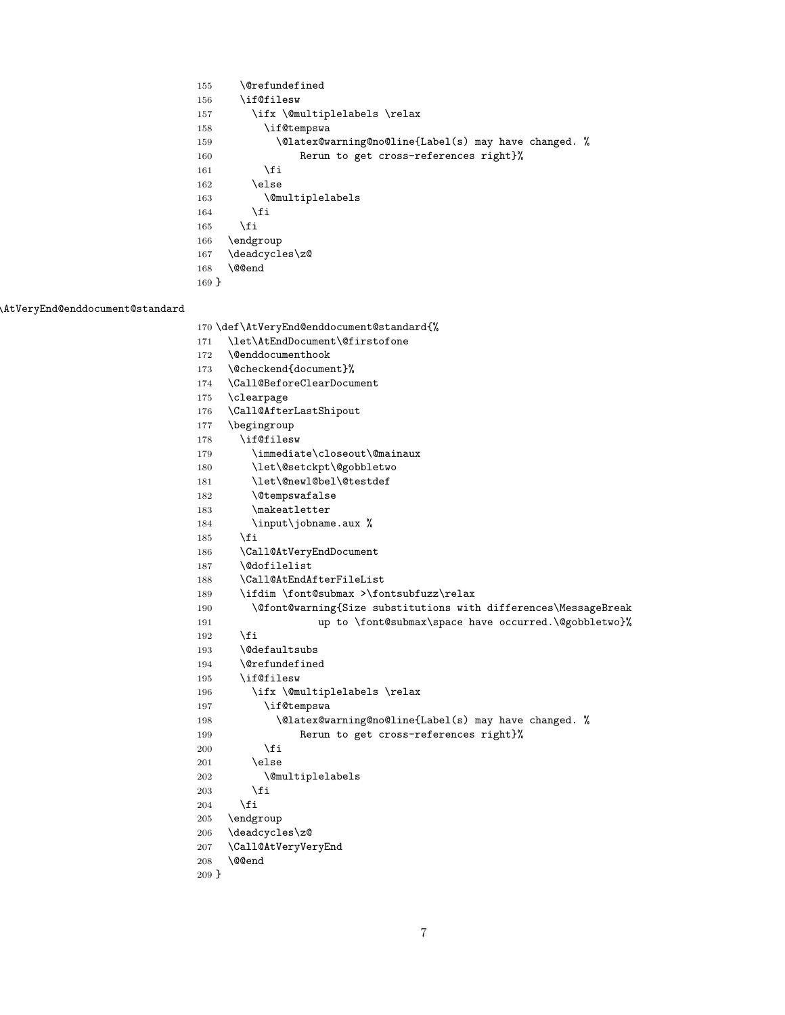<span id="page-6-34"></span><span id="page-6-31"></span><span id="page-6-18"></span><span id="page-6-14"></span><span id="page-6-13"></span><span id="page-6-10"></span> \@refundefined \if@filesw 157 \ifx \@multiplelabels \relax \if@tempswa 159 \\Qlatex@warning@no@line{Label(s) may have changed. % Rerun to get cross-references right}%  $161 \quad \text{If}$ 162 \else 163 \@multiplelabels 164 \fi 165  $\overrightarrow{fi}$  \endgroup \deadcycles\z@ \@@end }

#### <span id="page-6-21"></span>\AtVeryEnd@enddocument@standard

```
170 \def\AtVeryEnd@enddocument@standard{%
171 \let\AtEndDocument\@firstofone
172 \@enddocumenthook
173 \@checkend{document}%
174 \Call@BeforeClearDocument
175 \clearpage
176 \Call@AfterLastShipout
177 \begingroup
178 \if@filesw
179 \immediate\closeout\@mainaux
180 \let\@setckpt\@gobbletwo
181 \let\@newl@bel\@testdef
182 \@tempswafalse
183 \makeatletter
184 \input\jobname.aux %
185 \fi
186 \Call@AtVeryEndDocument
187 \@dofilelist
188 \Call@AtEndAfterFileList
189 \ifdim \font@submax >\fontsubfuzz\relax
190 \@font@warning{Size substitutions with differences\MessageBreak
191 up to \font@submax\space have occurred.\@gobbletwo}%
192 \qquad \qquad \fi
193 \@defaultsubs
194 \@refundefined
195 \if@filesw
196 \ifx \@multiplelabels \relax
197 \if@tempswa
198 \\coarrelatex@warning@no@line{Label(s) may have changed. %
199 Rerun to get cross-references right}%
200 \setminusfi
201 \else
202 \@multiplelabels
203 \forallfi
204 \overrightarrow{f}205 \endgroup
206 \deadcycles\z@
207 \Call@AtVeryVeryEnd
208 \@@end
209 }
```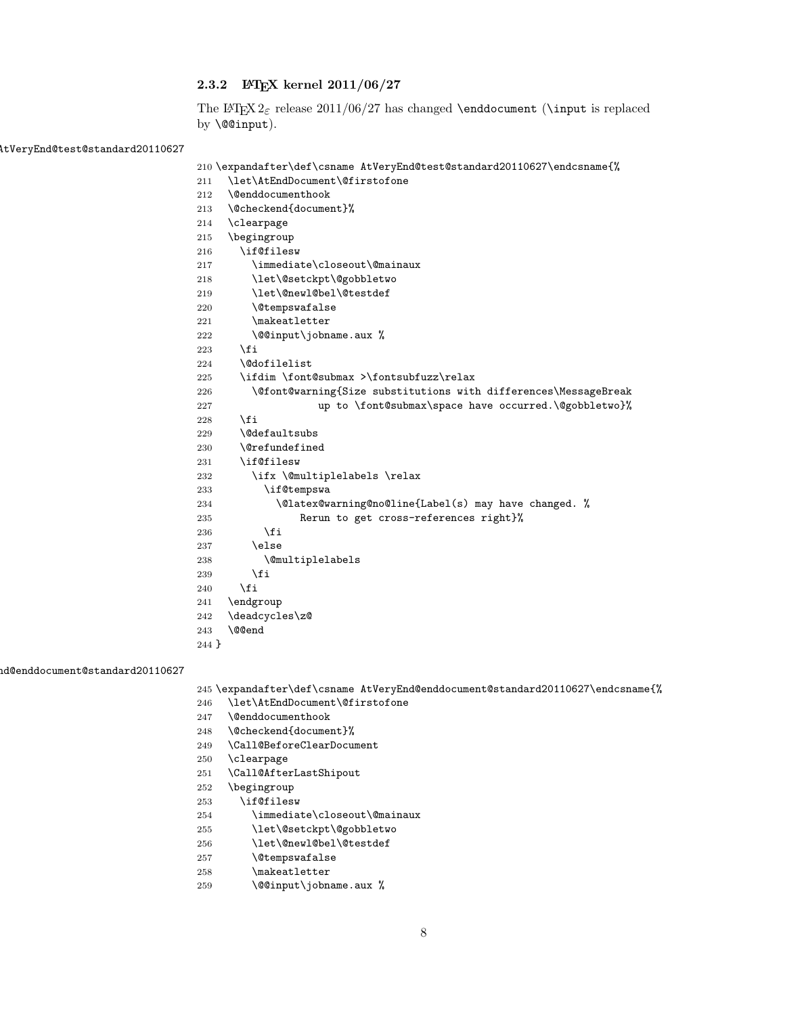#### <span id="page-7-0"></span>2.3.2 LATEX kernel 2011/06/27

The LATEX  $2\epsilon$  release 2011/06/27 has changed **\enddocument (\input is replaced** by \@@input).

<span id="page-7-27"></span> $\text{AtVeryEnd@test@standard} 20110627$ 

```
210 \expandafter\def\csname AtVeryEnd@test@standard20110627\endcsname{%
```
<span id="page-7-40"></span><span id="page-7-36"></span><span id="page-7-35"></span><span id="page-7-30"></span><span id="page-7-24"></span><span id="page-7-21"></span><span id="page-7-17"></span><span id="page-7-14"></span><span id="page-7-13"></span><span id="page-7-12"></span><span id="page-7-10"></span><span id="page-7-8"></span><span id="page-7-7"></span><span id="page-7-6"></span><span id="page-7-4"></span><span id="page-7-2"></span> \let\AtEndDocument\@firstofone \@enddocumenthook \@checkend{document}% \clearpage \begingroup \if@filesw \immediate\closeout\@mainaux \let\@setckpt\@gobbletwo \let\@newl@bel\@testdef 220 \@tempswafalse 221 \makeatletter 222 \@@input\jobname.aux %  $\forall$ fi \@dofilelist \ifdim \font@submax >\fontsubfuzz\relax \@font@warning{Size substitutions with differences\MessageBreak 227 up to \font@submax\space have occurred.\@gobbletwo}% \fi \@defaultsubs \@refundefined \if@filesw 232 \ifx \@multiplelabels \relax \if@tempswa \@latex@warning@no@line{Label(s) may have changed. % Rerun to get cross-references right}% \fi \else \@multiplelabels  $\overrightarrow{fi}$   $\forall$ i \endgroup \deadcycles\z@ \@@end }

<span id="page-7-26"></span>enddocument@standard20110627

<span id="page-7-39"></span><span id="page-7-37"></span><span id="page-7-34"></span><span id="page-7-33"></span><span id="page-7-23"></span><span id="page-7-20"></span><span id="page-7-19"></span><span id="page-7-16"></span><span id="page-7-1"></span>\expandafter\def\csname AtVeryEnd@enddocument@standard20110627\endcsname{%

- <span id="page-7-11"></span>\let\AtEndDocument\@firstofone
- <span id="page-7-9"></span>\@enddocumenthook
- <span id="page-7-5"></span>\@checkend{document}%
- <span id="page-7-29"></span>\Call@BeforeClearDocument
- <span id="page-7-31"></span>\clearpage
- <span id="page-7-28"></span>\Call@AfterLastShipout
- \begingroup
- <span id="page-7-38"></span>\if@filesw
- <span id="page-7-18"></span>\immediate\closeout\@mainaux
- <span id="page-7-15"></span>\let\@setckpt\@gobbletwo
- <span id="page-7-22"></span>\let\@newl@bel\@testdef
- <span id="page-7-25"></span>\@tempswafalse
- <span id="page-7-41"></span>\makeatletter
- <span id="page-7-3"></span>259 \@@input\jobname.aux %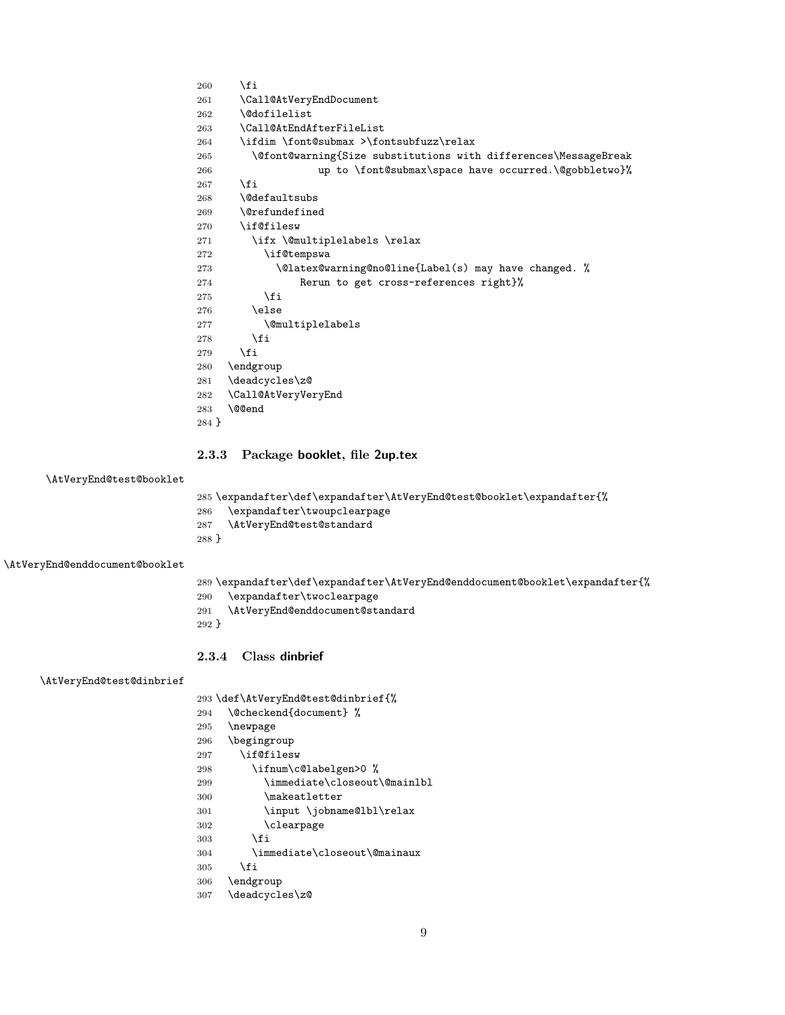```
260 \fi
261 \Call@AtVeryEndDocument
262 \@dofilelist
263 \Call@AtEndAfterFileList
264 \ifdim \font@submax >\fontsubfuzz\relax
265 \@font@warning{Size substitutions with differences\MessageBreak
266 up to \font@submax\space have occurred.\@gobbletwo}%
267 \fi
268 \@defaultsubs
269 \@refundefined
270 \if@filesw
271 \ifx \@multiplelabels \relax
272 \if@tempswa
273 \Qlatex@warning@no@line{Label(s) may have changed. %
274 Rerun to get cross-references right}%
275 \setminusfi
276 \else
277 \@multiplelabels
278 \forallfi
279 \fi
280 \endgroup
281 \deadcycles\z@
282 \Call@AtVeryVeryEnd
283 \@@end
284 }
```
#### <span id="page-8-24"></span><span id="page-8-22"></span><span id="page-8-12"></span><span id="page-8-2"></span><span id="page-8-0"></span>2.3.3 Package booklet, file 2up.tex

#### <span id="page-8-16"></span>\AtVeryEnd@test@booklet

<span id="page-8-34"></span> \expandafter\def\expandafter\AtVeryEnd@test@booklet\expandafter{% \expandafter\twoupclearpage

- <span id="page-8-18"></span>\AtVeryEnd@test@standard
- }

#### <span id="page-8-14"></span>\AtVeryEnd@enddocument@booklet

- \expandafter\def\expandafter\AtVeryEnd@enddocument@booklet\expandafter{%
- <span id="page-8-33"></span>\expandafter\twoclearpage
- <span id="page-8-15"></span>\AtVeryEnd@enddocument@standard
- }

#### <span id="page-8-1"></span>2.3.4 Class dinbrief

#### <span id="page-8-17"></span>\AtVeryEnd@test@dinbrief

\def\AtVeryEnd@test@dinbrief{%

- <span id="page-8-3"></span>\@checkend{document} %
- <span id="page-8-32"></span>\newpage
- \begingroup
- <span id="page-8-28"></span>\if@filesw
- <span id="page-8-19"></span>298 \ifnum\c@labelgen>0 %
- <span id="page-8-10"></span>\immediate\closeout\@mainlbl
- <span id="page-8-31"></span>\makeatletter
- <span id="page-8-30"></span>\input \jobname@lbl\relax
- <span id="page-8-23"></span>\clearpage
- \fi
- <span id="page-8-9"></span>\immediate\closeout\@mainaux
- \fi
- \endgroup
- <span id="page-8-25"></span>\deadcycles\z@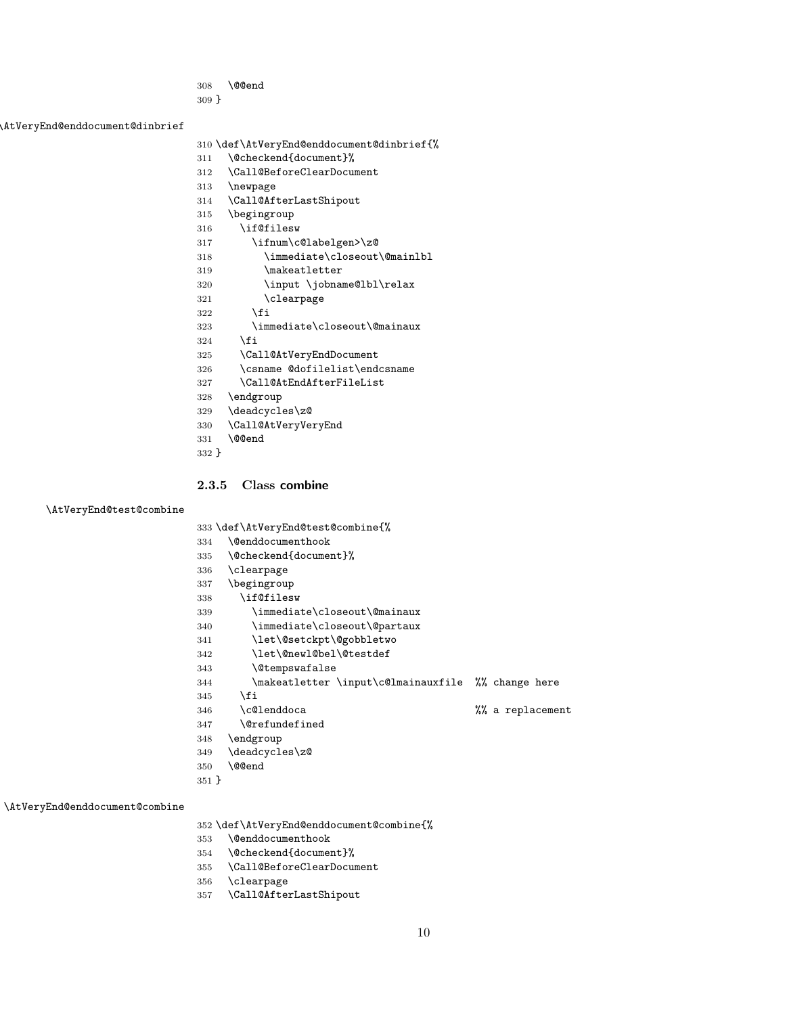- <span id="page-9-1"></span>\@@end
- }

<span id="page-9-18"></span>\AtVeryEnd@enddocument@dinbrief

- \def\AtVeryEnd@enddocument@dinbrief{%
- <span id="page-9-4"></span>\@checkend{document}%
- <span id="page-9-28"></span>\Call@BeforeClearDocument
- <span id="page-9-40"></span>\newpage
- <span id="page-9-23"></span>\Call@AfterLastShipout
- \begingroup
- <span id="page-9-36"></span>\if@filesw
- <span id="page-9-20"></span>\ifnum\c@labelgen>\z@
- <span id="page-9-12"></span>\immediate\closeout\@mainlbl
- <span id="page-9-39"></span>\makeatletter
- <span id="page-9-38"></span>\input \jobname@lbl\relax
- <span id="page-9-30"></span>321 \clearpage
- $322 \qquad \text{if}$
- <span id="page-9-10"></span>\immediate\closeout\@mainaux
- \fi
- <span id="page-9-26"></span> \Call@AtVeryEndDocument \csname @dofilelist\endcsname
- <span id="page-9-33"></span><span id="page-9-25"></span>\Call@AtEndAfterFileList
- \endgroup
- <span id="page-9-34"></span>\deadcycles\z@
- <span id="page-9-27"></span>\Call@AtVeryVeryEnd
- <span id="page-9-2"></span>\@@end
- }

#### <span id="page-9-0"></span>2.3.5 Class combine

#### <span id="page-9-19"></span>\AtVeryEnd@test@combine

<span id="page-9-7"></span> \def\AtVeryEnd@test@combine{% \@enddocumenthook

- <span id="page-9-5"></span>\@checkend{document}%
- <span id="page-9-31"></span>\clearpage
- \begingroup
- <span id="page-9-37"></span>\if@filesw
- <span id="page-9-11"></span>\immediate\closeout\@mainaux
- <span id="page-9-14"></span>\immediate\closeout\@partaux
- <span id="page-9-9"></span>\let\@setckpt\@gobbletwo
- <span id="page-9-13"></span>\let\@newl@bel\@testdef
- <span id="page-9-16"></span>\@tempswafalse
- <span id="page-9-22"></span> \makeatletter \input\c@lmainauxfile %% change here \fi
- <span id="page-9-21"></span>\c@lenddoca %% a replacement
- <span id="page-9-15"></span>\@refundefined
- \endgroup
- <span id="page-9-35"></span>\deadcycles\z@
- <span id="page-9-3"></span>\@@end
- }

#### <span id="page-9-17"></span>\AtVeryEnd@enddocument@combine

\def\AtVeryEnd@enddocument@combine{%

- <span id="page-9-8"></span>\@enddocumenthook
- <span id="page-9-6"></span>\@checkend{document}%
- <span id="page-9-29"></span>\Call@BeforeClearDocument
- <span id="page-9-32"></span>\clearpage
- <span id="page-9-24"></span>\Call@AfterLastShipout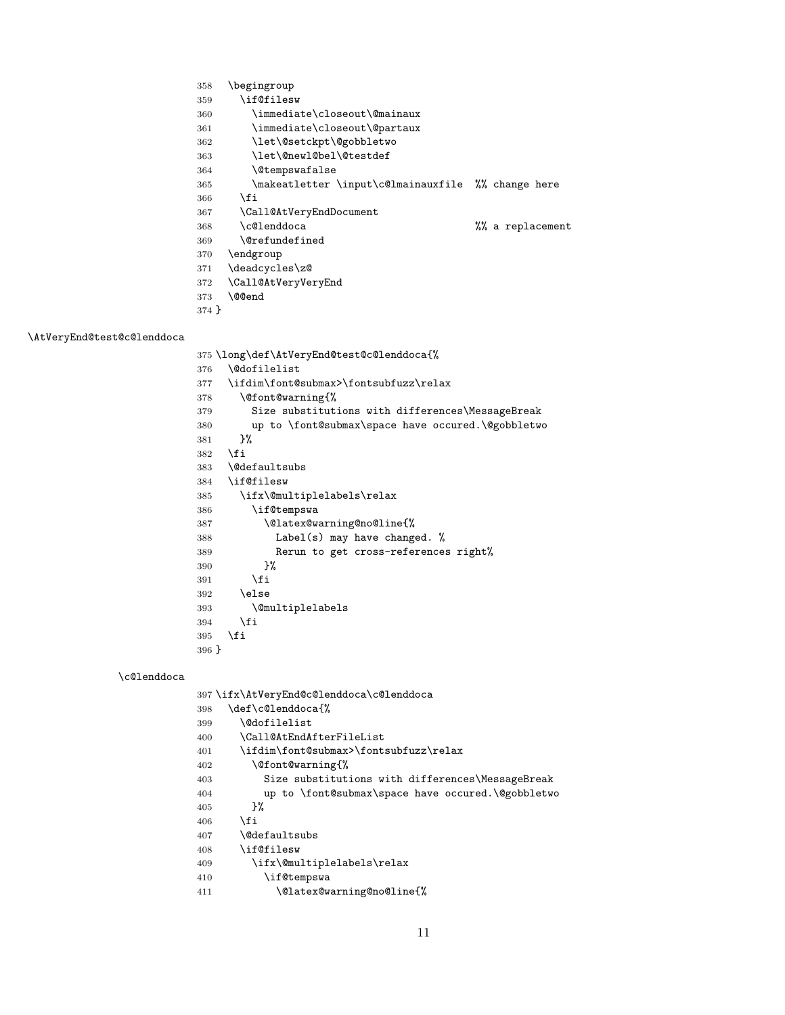- \begingroup
- <span id="page-10-31"></span>\if@filesw
- <span id="page-10-12"></span>\immediate\closeout\@mainaux
- <span id="page-10-17"></span>\immediate\closeout\@partaux
- <span id="page-10-7"></span>\let\@setckpt\@gobbletwo
- <span id="page-10-16"></span>\let\@newl@bel\@testdef
- <span id="page-10-19"></span>\@tempswafalse
- <span id="page-10-24"></span>\makeatletter \input\c@lmainauxfile %% change here
- 366  $\overrightarrow{fi}$
- <span id="page-10-26"></span>\Call@AtVeryEndDocument
- <span id="page-10-22"></span>\c@lenddoca %% a replacement
- <span id="page-10-18"></span>369 \@refundefined<br>370 \endgroup
- \endgroup
- <span id="page-10-28"></span>\deadcycles\z@
- <span id="page-10-27"></span>\Call@AtVeryVeryEnd
- <span id="page-10-0"></span> \@@end }

#### <span id="page-10-21"></span>\AtVeryEnd@test@c@lenddoca

<span id="page-10-36"></span><span id="page-10-34"></span><span id="page-10-32"></span><span id="page-10-29"></span><span id="page-10-13"></span><span id="page-10-10"></span><span id="page-10-8"></span><span id="page-10-5"></span><span id="page-10-3"></span><span id="page-10-1"></span>

|       | 375\long\def\AtVeryEnd@test@c@lenddoca{%          |
|-------|---------------------------------------------------|
| 376   | \@dofilelist                                      |
| 377   | \ifdim\font@submax>\fontsubfuzz\relax             |
| 378   | \@font@warning{%                                  |
| 379   | Size substitutions with differences\MessageBreak  |
| 380   | up to \font@submax\space have occured.\@gobbletwo |
| 381   | }‰                                                |
| 382   | \fi                                               |
|       | 383 \@defaultsubs                                 |
| 384   | \if@filesw                                        |
| 385   | \ifx\@multiplelabels\relax                        |
| 386   | \if@tempswa                                       |
| 387   | \@latex@warning@no@line{%                         |
| 388   | Label(s) may have changed. %                      |
| 389   | Rerun to get cross-references right%              |
| 390   | }‰                                                |
| 391   | \fi                                               |
| 392   | \else                                             |
| 393   | <i><u><b>Omultiplelabels</b></u></i>              |
| 394   | \fi                                               |
| 395   | \fi                                               |
| 396 } |                                                   |

#### <span id="page-10-23"></span>\c@lenddoca

<span id="page-10-37"></span><span id="page-10-35"></span><span id="page-10-33"></span><span id="page-10-30"></span><span id="page-10-25"></span><span id="page-10-20"></span><span id="page-10-15"></span><span id="page-10-14"></span><span id="page-10-11"></span><span id="page-10-9"></span><span id="page-10-6"></span><span id="page-10-4"></span><span id="page-10-2"></span>

|     | 397\ifx\AtVeryEnd@c@lenddoca\c@lenddoca           |
|-----|---------------------------------------------------|
| 398 | \def\c@lenddoca{%                                 |
| 399 | <b>\@dofilelist</b>                               |
| 400 | \Call@AtEndAfterFileList                          |
| 401 | \ifdim\font@submax>\fontsubfuzz\relax             |
| 402 | \@font@warning{%                                  |
| 403 | Size substitutions with differences\MessageBreak  |
| 404 | up to \font@submax\space have occured.\@gobbletwo |
| 405 | ጉ%                                                |
| 406 | \fi                                               |
| 407 | <i><b>\@defaultsubs</b></i>                       |
| 408 | \if@filesw                                        |
| 409 | \ifx\@multiplelabels\relax                        |
| 410 | \if@tempswa                                       |
| 411 | \@latex@warning@no@line{%                         |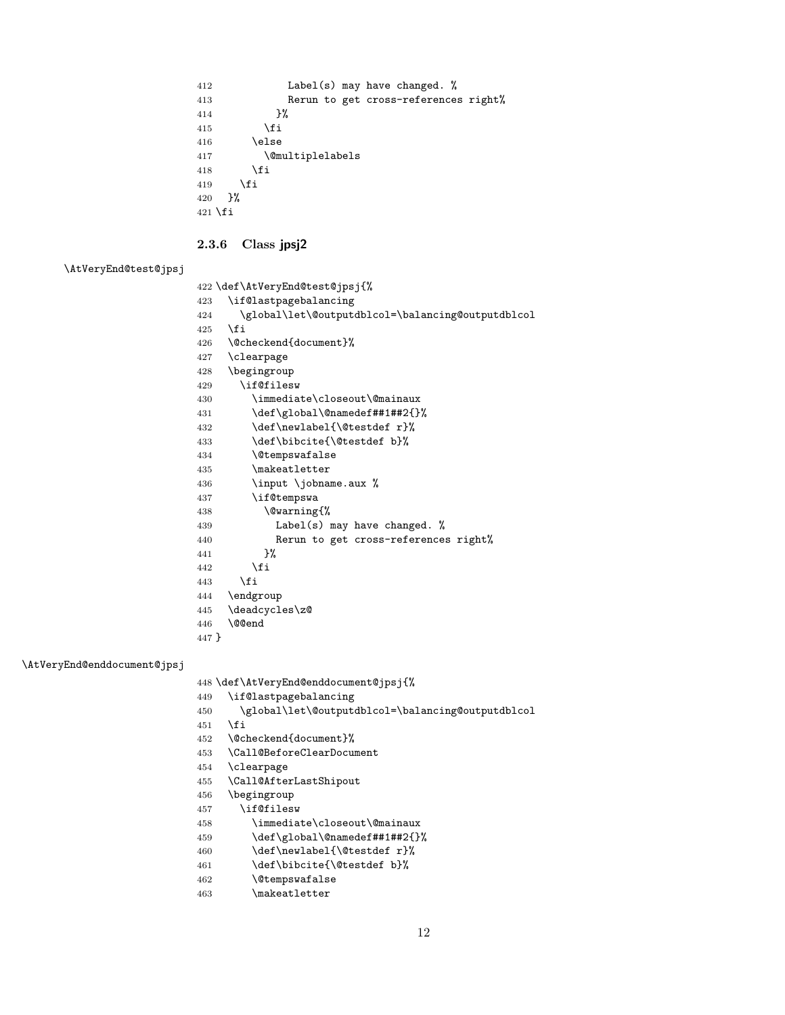```
412 Label(s) may have changed. %
413 Rerun to get cross-references right%
414 }%
415 \overrightarrow{fi}416 \else
417 \@multiplelabels
418 \setminusfi
419 \fi
420 }%
421 \fi
```
#### <span id="page-11-0"></span>2.3.6 Class jpsj2

## <span id="page-11-19"></span>\AtVeryEnd@test@jpsj

<span id="page-11-31"></span><span id="page-11-30"></span><span id="page-11-27"></span><span id="page-11-25"></span><span id="page-11-22"></span><span id="page-11-14"></span><span id="page-11-13"></span><span id="page-11-11"></span><span id="page-11-9"></span><span id="page-11-7"></span><span id="page-11-4"></span><span id="page-11-2"></span>

|       | 422 \def\AtVeryEnd@test@jpsj{%                    |
|-------|---------------------------------------------------|
| 423   | \if@lastpagebalancing                             |
| 424   | \global\let\@outputdblcol=\balancing@outputdblcol |
| 425   | \fi                                               |
| 426   | \@checkend{document}%                             |
| 427   | \clearpage                                        |
| 428   | \begingroup                                       |
| 429   | \if@filesw                                        |
| 430   | \immediate\closeout\@mainaux                      |
| 431   | \def\global\@namedef##1##2{}%                     |
| 432   | \def\newlabel{\@testdef r}%                       |
| 433   | \def\bibcite{\@testdef b}%                        |
| 434   | <i><b>\@tempswafalse</b></i>                      |
| 435   | \makeatletter                                     |
| 436   | \input \jobname.aux %                             |
| 437   | \if@tempswa                                       |
| 438   | \@warning{%                                       |
| 439   | Label(s) may have changed. $%$                    |
| 440   | Rerun to get cross-references right%              |
| 441   | ጉ%                                                |
| 442   | \fi                                               |
| 443   | \fi                                               |
| 444   | \endgroup                                         |
| 445   | \deadcycles\z@                                    |
| 446   | \@@end                                            |
| 447 } |                                                   |
|       |                                                   |

#### <span id="page-11-18"></span>\AtVeryEnd@enddocument@jpsj

<span id="page-11-29"></span><span id="page-11-24"></span><span id="page-11-17"></span><span id="page-11-1"></span>\def\AtVeryEnd@enddocument@jpsj{%

- <span id="page-11-28"></span>\if@lastpagebalancing
- <span id="page-11-10"></span>\global\let\@outputdblcol=\balancing@outputdblcol
- \fi
- <span id="page-11-3"></span>\@checkend{document}%
- <span id="page-11-21"></span>\Call@BeforeClearDocument
- <span id="page-11-23"></span>\clearpage
- <span id="page-11-20"></span>\Call@AfterLastShipout
- \begingroup
- <span id="page-11-26"></span>\if@filesw
- <span id="page-11-5"></span>\immediate\closeout\@mainaux
- <span id="page-11-8"></span>\def\global\@namedef##1##2{}%
- <span id="page-11-15"></span>460 \def\newlabel{\@testdef r}%
- <span id="page-11-16"></span>461 \def\bibcite{\@testdef b}%
- <span id="page-11-12"></span>\@tempswafalse
- <span id="page-11-32"></span>\makeatletter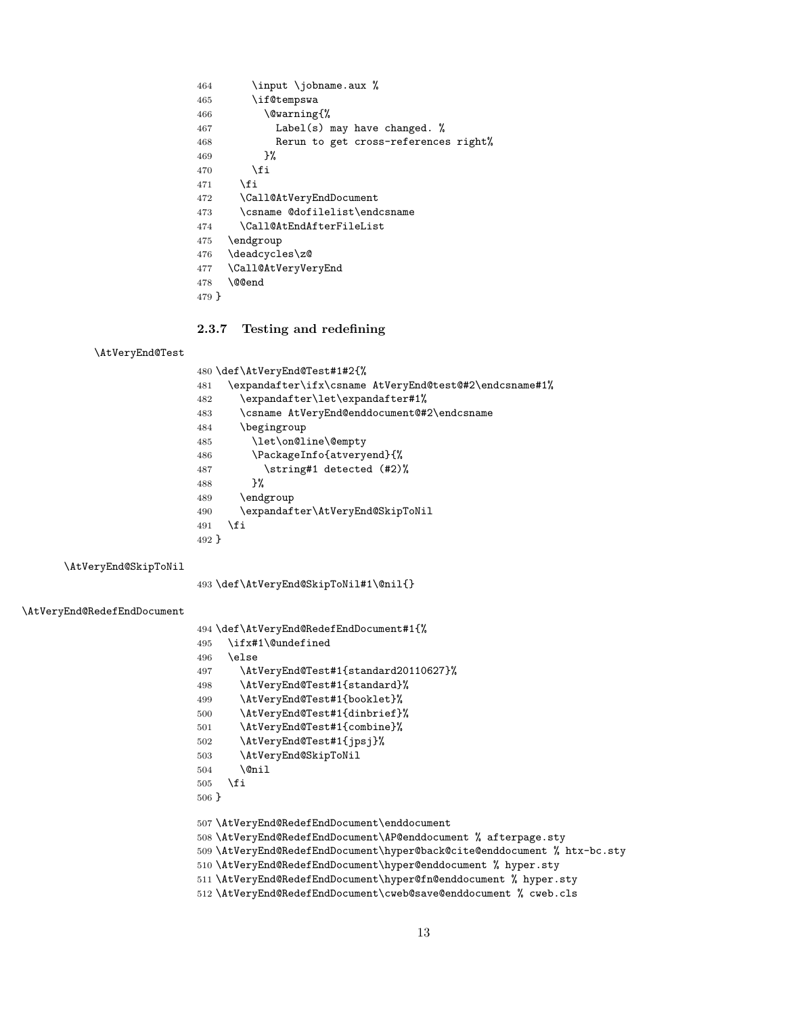<span id="page-12-32"></span><span id="page-12-31"></span><span id="page-12-25"></span><span id="page-12-6"></span> \input \jobname.aux % \if@tempswa \@warning{% Label(s) may have changed. % Rerun to get cross-references right% 469 }%  $\setminus$ fi  $\qquad \qquad \int f$ i \Call@AtVeryEndDocument \csname @dofilelist\endcsname \Call@AtEndAfterFileList \endgroup \deadcycles\z@ \Call@AtVeryVeryEnd \@@end }

#### <span id="page-12-30"></span><span id="page-12-27"></span><span id="page-12-26"></span><span id="page-12-24"></span><span id="page-12-1"></span><span id="page-12-0"></span>2.3.7 Testing and redefining

#### <span id="page-12-17"></span>\AtVeryEnd@Test

<span id="page-12-33"></span><span id="page-12-29"></span><span id="page-12-28"></span><span id="page-12-2"></span>

|       | 480 \def\AtVeryEnd@Test#1#2{%                          |
|-------|--------------------------------------------------------|
| 481   | \expandafter\ifx\csname AtVeryEnd@test@#2\endcsname#1% |
| 482   | \expandafter\let\expandafter#1%                        |
| 483   | \csname AtVeryEnd@enddocument@#2\endcsname             |
| 484   | \begingroup                                            |
| 485   | \let\on@line\@empty                                    |
| 486   | \PackageInfo{atveryend}{%                              |
| 487   | \string#1 detected (#2)%                               |
| 488   | ጉ%                                                     |
| 489   | \endgroup                                              |
| 490   | \expandafter\AtVeryEnd@SkipToNil                       |
| 491   | \fi                                                    |
| 492 F |                                                        |
|       |                                                        |

<span id="page-12-15"></span>\AtVeryEnd@SkipToNil

<span id="page-12-14"></span><span id="page-12-3"></span>\def\AtVeryEnd@SkipToNil#1\@nil{}

#### <span id="page-12-8"></span>\AtVeryEnd@RedefEndDocument

<span id="page-12-23"></span><span id="page-12-22"></span><span id="page-12-21"></span><span id="page-12-20"></span><span id="page-12-19"></span><span id="page-12-18"></span><span id="page-12-16"></span><span id="page-12-13"></span><span id="page-12-12"></span><span id="page-12-11"></span><span id="page-12-10"></span><span id="page-12-9"></span><span id="page-12-7"></span><span id="page-12-5"></span><span id="page-12-4"></span>

|          | 494 \def\AtVeryEnd@RedefEndDocument#1{%                                  |
|----------|--------------------------------------------------------------------------|
| 495      | \ifx#1\@undefined                                                        |
| 496      | \else                                                                    |
| 497      | \AtVeryEnd@Test#1{standard20110627}%                                     |
| 498      | \AtVeryEnd@Test#1{standard}%                                             |
| 499      | \AtVeryEnd@Test#1{booklet}%                                              |
| 500      | \AtVeryEnd@Test#1{dinbrief}%                                             |
| 501      | \AtVeryEnd@Test#1{combine}%                                              |
| 502      | \AtVeryEnd@Test#1{jpsj}%                                                 |
| 503      | \AtVeryEnd@SkipToNil                                                     |
| 504      | \@nil                                                                    |
| 505      | \fi                                                                      |
| $506 \}$ |                                                                          |
|          |                                                                          |
|          | 507 \AtVeryEnd@RedefEndDocument\enddocument                              |
|          | 508 \AtVeryEnd@RedefEndDocument\AP@enddocument % afterpage.sty           |
|          | 509 \AtVeryEnd@RedefEndDocument\hyper@back@cite@enddocument % htx-bc.sty |
|          | 510 \AtVeryEnd@RedefEndDocument\hyper@enddocument % hyper.sty            |
|          | 511 \AtVeryEnd@RedefEndDocument\hyper@fn@enddocument % hyper.sty         |
|          | 512 \AtVeryEnd@RedefEndDocument\cweb@save@enddocument % cweb.cls         |
|          |                                                                          |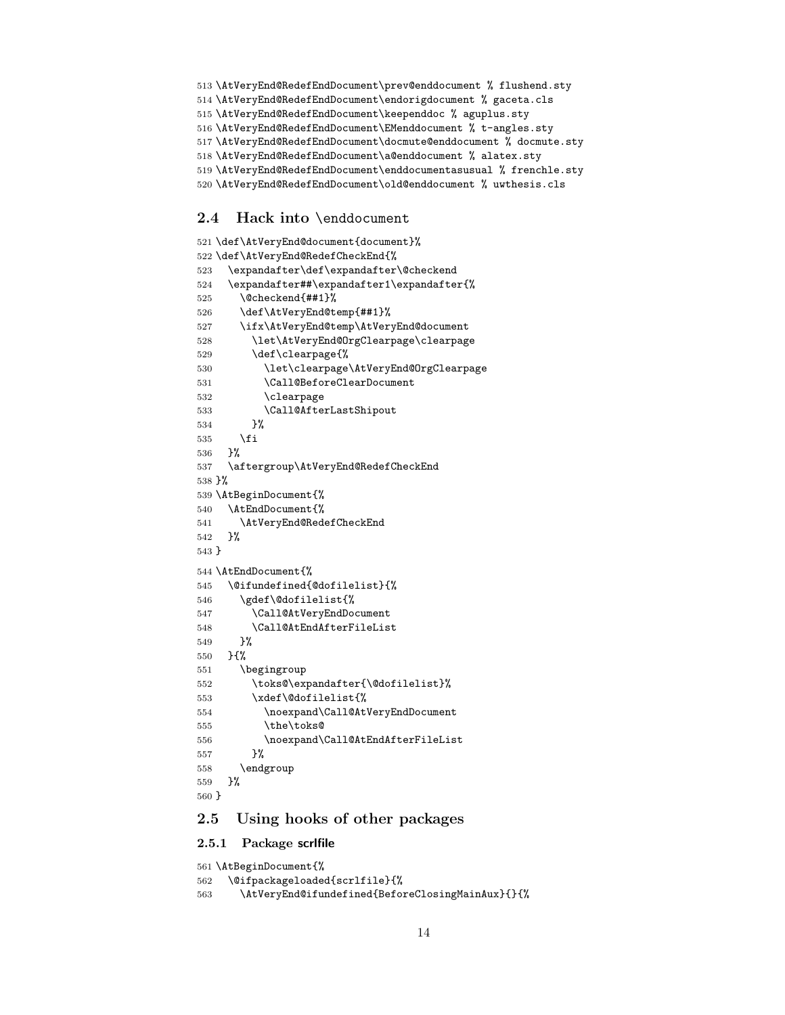- <span id="page-13-25"></span><span id="page-13-24"></span><span id="page-13-23"></span> \AtVeryEnd@RedefEndDocument\prev@enddocument % flushend.sty \AtVeryEnd@RedefEndDocument\endorigdocument % gaceta.cls \AtVeryEnd@RedefEndDocument\keependdoc % aguplus.sty \AtVeryEnd@RedefEndDocument\EMenddocument % t-angles.sty \AtVeryEnd@RedefEndDocument\docmute@enddocument % docmute.sty
- <span id="page-13-27"></span><span id="page-13-26"></span><span id="page-13-10"></span>\AtVeryEnd@RedefEndDocument\a@enddocument % alatex.sty
- <span id="page-13-28"></span>\AtVeryEnd@RedefEndDocument\enddocumentasusual % frenchle.sty
- <span id="page-13-29"></span>\AtVeryEnd@RedefEndDocument\old@enddocument % uwthesis.cls

## <span id="page-13-0"></span>2.4 Hack into \enddocument

```
521 \def\AtVeryEnd@document{document}%
522 \def\AtVeryEnd@RedefCheckEnd{%
523 \expandafter\def\expandafter\@checkend
524 \expandafter##\expandafter1\expandafter{%
525 \@checkend{##1}%
526 \def\AtVeryEnd@temp{##1}%
527 \ifx\AtVeryEnd@temp\AtVeryEnd@document
528 \let\AtVeryEnd@OrgClearpage\clearpage
529 \def\clearpage{%
530 \let\clearpage\AtVeryEnd@OrgClearpage
531 \Call@BeforeClearDocument
532 \clearpage
533 \Call@AfterLastShipout
534 }%
535 \fi
536 }%
537 \aftergroup\AtVeryEnd@RedefCheckEnd
538 }%
539 \AtBeginDocument{%
540 \AtEndDocument{%
541 \AtVeryEnd@RedefCheckEnd
542 }%
543 }
544 \AtEndDocument{%
545 \@ifundefined{@dofilelist}{%
546 \gdef\@dofilelist{%
547 \Call@AtVeryEndDocument
548 \Call@AtEndAfterFileList
549 }%
550 }{%
551 \begingroup
552 \toks@\expandafter{\@dofilelist}%
553 \xdef\@dofilelist{%
554 \noexpand\Call@AtVeryEndDocument
555 \the\toks@
556 \noexpand\Call@AtEndAfterFileList
557 }%
558 \endgroup
559 }%
560 }
```
## <span id="page-13-39"></span><span id="page-13-35"></span><span id="page-13-34"></span><span id="page-13-33"></span><span id="page-13-32"></span><span id="page-13-15"></span><span id="page-13-9"></span><span id="page-13-7"></span><span id="page-13-6"></span><span id="page-13-5"></span><span id="page-13-1"></span>2.5 Using hooks of other packages

#### <span id="page-13-2"></span>2.5.1 Package scrlfile

```
561 \AtBeginDocument{%
562 \@ifpackageloaded{scrlfile}{%
563 \AtVeryEnd@ifundefined{BeforeClosingMainAux}{}{%
```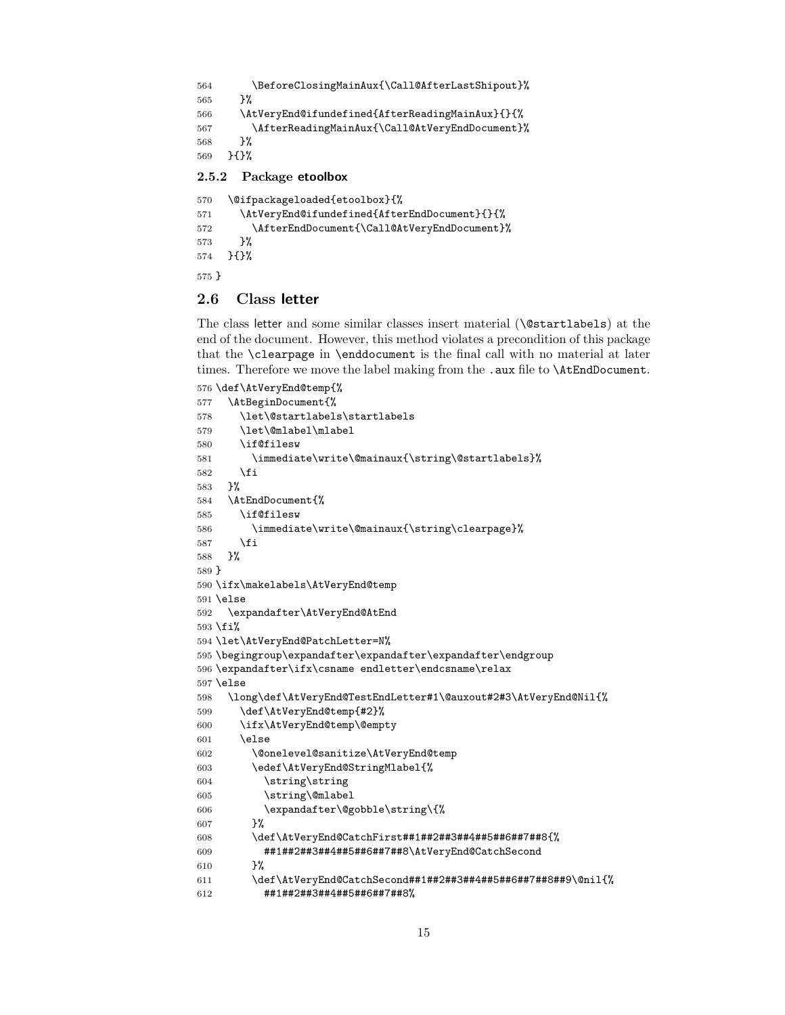```
564 \BeforeClosingMainAux{\Call@AfterLastShipout}%
565 }%
566 \AtVeryEnd@ifundefined{AfterReadingMainAux}{}{%
567 \AfterReadingMainAux{\Call@AtVeryEndDocument}%
568 }%
569 }{}%
2.5.2 Package etoolbox
```

```
570 \@ifpackageloaded{etoolbox}{%
571 \AtVeryEnd@ifundefined{AfterEndDocument}{}{%
572 \AfterEndDocument{\Call@AtVeryEndDocument}%
573 }%
574 }{}%
575 }
```
#### <span id="page-14-1"></span>2.6 Class letter

The class letter and some similar classes insert material (\@startlabels) at the end of the document. However, this method violates a precondition of this package that the \clearpage in \enddocument is the final call with no material at later times. Therefore we move the label making from the .aux file to **\AtEndDocument**.

```
576 \def\AtVeryEnd@temp{%
577 \AtBeginDocument{%
578 \let\@startlabels\startlabels
579 \let\@mlabel\mlabel
580 \if@filesw
581 \immediate\write\@mainaux{\string\@startlabels}%
582 \fi
583 }%
584 \AtEndDocument{%
585 \if@filesw
586 \immediate\write\@mainaux{\string\clearpage}%
587 \fi
588 }%
589 }
590 \ifx\makelabels\AtVeryEnd@temp
591 \else
592 \expandafter\AtVeryEnd@AtEnd
593 \fi%
594 \let\AtVeryEnd@PatchLetter=N%
595 \begingroup\expandafter\expandafter\expandafter\endgroup
596 \expandafter\ifx\csname endletter\endcsname\relax
597 \else
598 \long\def\AtVeryEnd@TestEndLetter#1\@auxout#2#3\AtVeryEnd@Nil{%
599 \def\AtVeryEnd@temp{#2}%
600 \ifx\AtVeryEnd@temp\@empty
601 \else
602 \@onelevel@sanitize\AtVeryEnd@temp
603 \edef\AtVeryEnd@StringMlabel{%
604 \string\string
605 \string\@mlabel
606 \expandafter\@gobble\string\{%
607 }%
608 \def\AtVeryEnd@CatchFirst##1##2##3##4##5##6##7##8{%
609 ##1##2##3##4##5##6##7##8\AtVeryEnd@CatchSecond
610 }%
611 \def\AtVeryEnd@CatchSecond##1##2##3##4##5##6##7##8##9\@nil{%
612 ##1##2##3##4##5##6##7##8%
```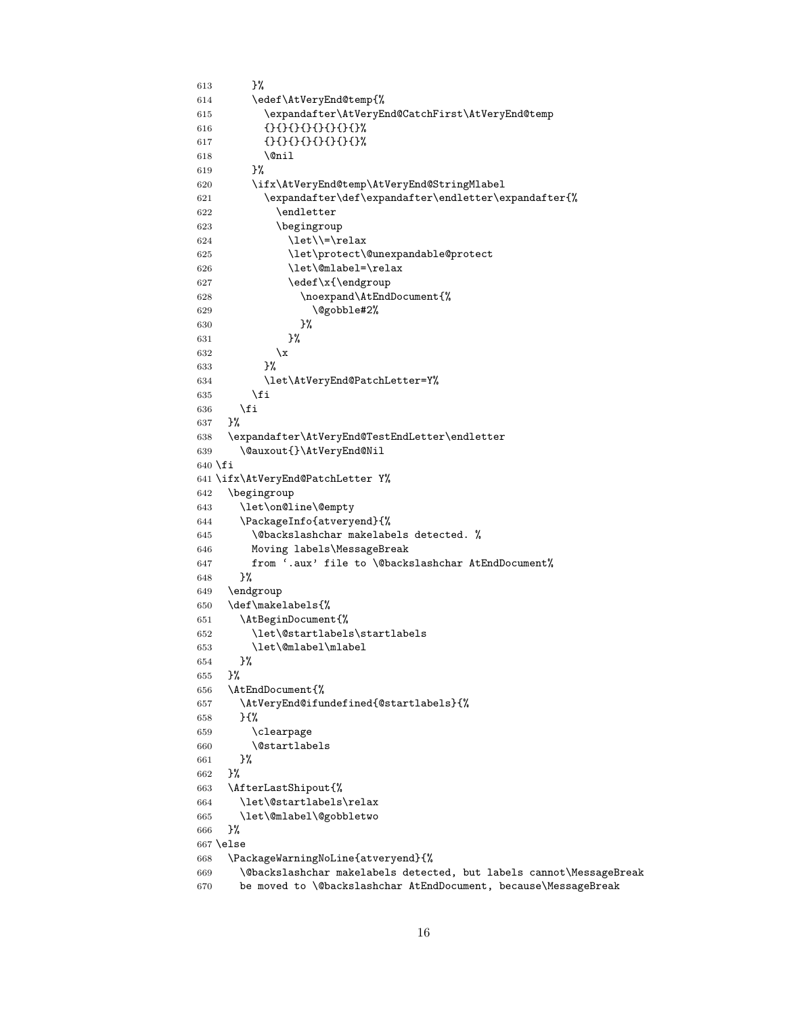```
613 }%
614 \edef\AtVeryEnd@temp{%
615 \expandafter\AtVeryEnd@CatchFirst\AtVeryEnd@temp
616 {}{}{}{}{}{}{}{}%
617 {}{}{}{}{}{}{}{}%
618 \@nil
619 }%
620 \ifx\AtVeryEnd@temp\AtVeryEnd@StringMlabel
621 \expandafter\def\expandafter\endletter\expandafter{%
622 \endletter
623 \begingroup
624 \let\left\=\relax625 \let\protect\@unexpandable@protect
626 \let\@mlabel=\relax
627 \edef\x{\endgroup
628 \noexpand\AtEndDocument{%
629 \@gobble#2%
630 }%
631 }%
632 \quad \lambda633 }%
634 \let\AtVeryEnd@PatchLetter=Y%
635 \overrightarrow{fi}636 \fi<br>637 }%
637
638 \expandafter\AtVeryEnd@TestEndLetter\endletter
639 \@auxout{}\AtVeryEnd@Nil
640 \fi
641 \ifx\AtVeryEnd@PatchLetter Y%
642 \begingroup
643 \let\on@line\@empty
644 \PackageInfo{atveryend}{%
645 \@backslashchar makelabels detected. %
646 Moving labels\MessageBreak
647 from '.aux' file to \@backslashchar AtEndDocument%
648 }%
649 \endgroup
650 \def\makelabels{%
651 \AtBeginDocument{%
652 \let\@startlabels\startlabels
653 \let\@mlabel\mlabel
654 }%
655 }%
656 \AtEndDocument{%
657 \AtVeryEnd@ifundefined{@startlabels}{%
658 }{%
659 \clearpage
660 \@startlabels
661 }%
662 }%
663 \AfterLastShipout{%
664 \let\@startlabels\relax
665 \let\@mlabel\@gobbletwo
666 }%
667 \else
668 \PackageWarningNoLine{atveryend}{%
669 \@backslashchar makelabels detected, but labels cannot\MessageBreak
670 be moved to \@backslashchar AtEndDocument, because\MessageBreak
```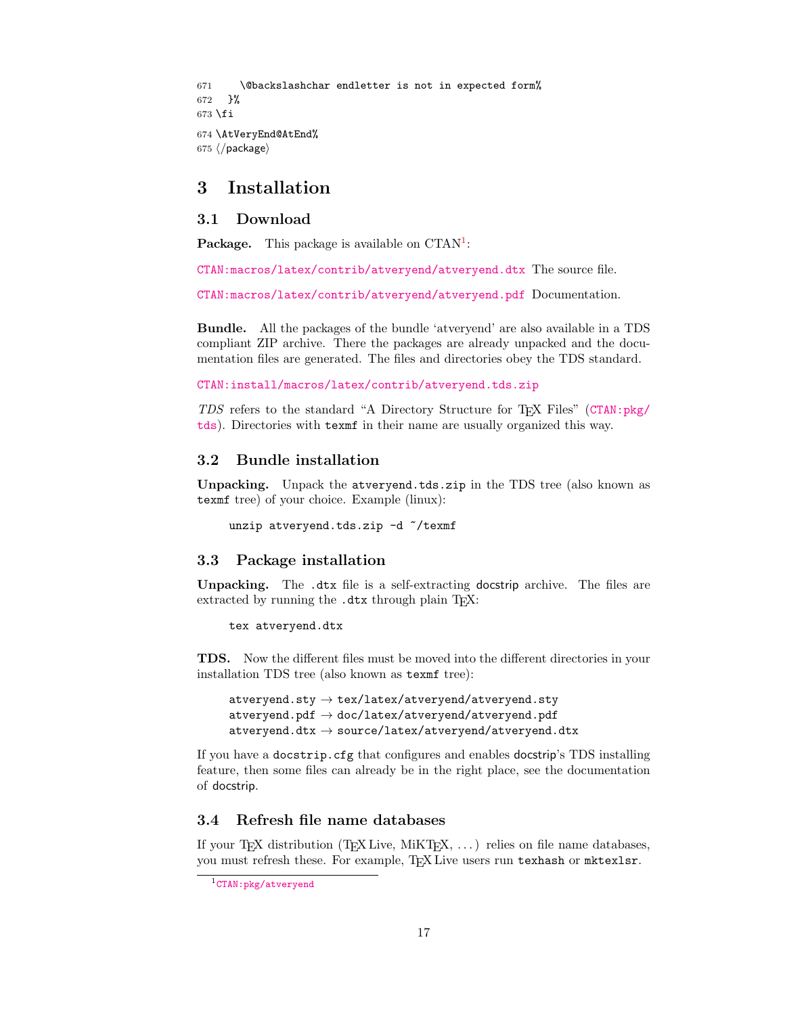```
671 \@backslashchar endletter is not in expected form%
672 }%
673 \fi
674 \AtVeryEnd@AtEnd%
675 \langle/package\rangle
```
## <span id="page-16-0"></span>3 Installation

#### <span id="page-16-1"></span>3.1 Download

**Package.** This package is available on  $CTAN^1$  $CTAN^1$ :

[CTAN:macros/latex/contrib/atveryend/atveryend.dtx](https://ctan.org/tex-archive/macros/latex/contrib/atveryend/atveryend.dtx) The source file.

[CTAN:macros/latex/contrib/atveryend/atveryend.pdf](https://ctan.org/tex-archive/macros/latex/contrib/atveryend/atveryend.pdf) Documentation.

Bundle. All the packages of the bundle 'atveryend' are also available in a TDS compliant ZIP archive. There the packages are already unpacked and the documentation files are generated. The files and directories obey the TDS standard.

[CTAN:install/macros/latex/contrib/atveryend.tds.zip](http://mirrors.ctan.org/install/macros/latex/contrib/atveryend.tds.zip)

TDS refers to the standard "A Directory Structure for TEX Files" ([CTAN:pkg/](http://ctan.org/pkg/tds) [tds](http://ctan.org/pkg/tds)). Directories with texmf in their name are usually organized this way.

#### <span id="page-16-2"></span>3.2 Bundle installation

Unpacking. Unpack the atveryend.tds.zip in the TDS tree (also known as texmf tree) of your choice. Example (linux):

```
unzip atveryend.tds.zip -d ~/texmf
```
#### <span id="page-16-3"></span>3.3 Package installation

Unpacking. The .dtx file is a self-extracting docstrip archive. The files are extracted by running the  $.$ dtx through plain TEX:

tex atveryend.dtx

TDS. Now the different files must be moved into the different directories in your installation TDS tree (also known as texmf tree):

```
atveryend.sty \rightarrow tex/latex/atveryend/atveryend.styatveryend.pdf \rightarrow doc/latex/atveryend/atveryend.pdf
atveryend.dtx \rightarrow source/latex/atveryend/atveryend.dtx
```
If you have a docstrip.cfg that configures and enables docstrip's TDS installing feature, then some files can already be in the right place, see the documentation of docstrip.

## <span id="page-16-4"></span>3.4 Refresh file name databases

If your T<sub>E</sub>X distribution  $(T_F X \text{ Live}, \text{MikT}_F X, \ldots)$  relies on file name databases, you must refresh these. For example, TEX Live users run texhash or mktexlsr.

<span id="page-16-5"></span><sup>1</sup>[CTAN:pkg/atveryend](http://ctan.org/pkg/atveryend)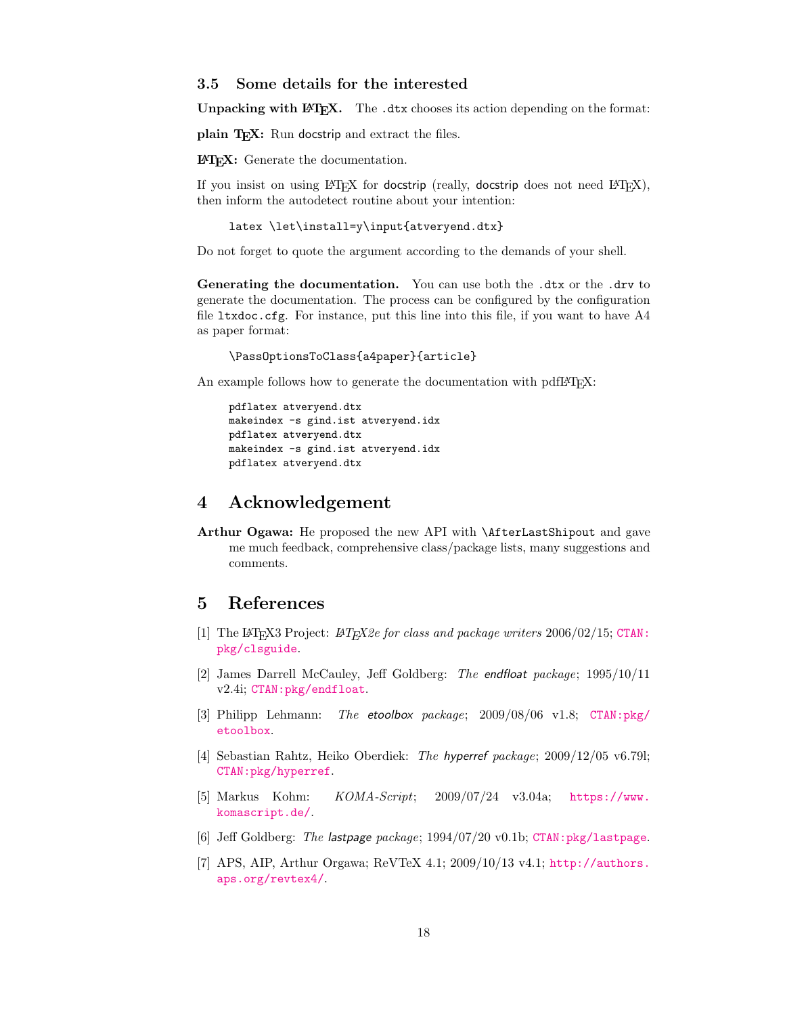#### <span id="page-17-0"></span>3.5 Some details for the interested

**Unpacking with LATEX.** The  $\cdot$  dtx chooses its action depending on the format:

plain T<sub>E</sub>X: Run docstrip and extract the files.

LATEX: Generate the documentation.

If you insist on using  $\text{LTr}X$  for docstrip (really, docstrip does not need  $\text{LTr}X$ ), then inform the autodetect routine about your intention:

```
latex \let\install=y\input{atveryend.dtx}
```
Do not forget to quote the argument according to the demands of your shell.

Generating the documentation. You can use both the .dtx or the .drv to generate the documentation. The process can be configured by the configuration file ltxdoc.cfg. For instance, put this line into this file, if you want to have A4 as paper format:

\PassOptionsToClass{a4paper}{article}

An example follows how to generate the documentation with pdfI $\Delta T$ <sub>F</sub>X:

```
pdflatex atveryend.dtx
makeindex -s gind.ist atveryend.idx
pdflatex atveryend.dtx
makeindex -s gind.ist atveryend.idx
pdflatex atveryend.dtx
```
## <span id="page-17-1"></span>4 Acknowledgement

Arthur Ogawa: He proposed the new API with \AfterLastShipout and gave me much feedback, comprehensive class/package lists, many suggestions and comments.

## <span id="page-17-2"></span>5 References

- <span id="page-17-5"></span>[1] The LAT<sub>E</sub>X3 Project: LAT<sub>E</sub>X2e for class and package writers  $2006/02/15$ ; [CTAN:](http://ctan.org/pkg/clsguide) [pkg/clsguide](http://ctan.org/pkg/clsguide).
- <span id="page-17-6"></span>[2] James Darrell McCauley, Jeff Goldberg: The endfloat package; 1995/10/11 v2.4i; [CTAN:pkg/endfloat](http://ctan.org/pkg/endfloat).
- <span id="page-17-8"></span>[3] Philipp Lehmann: The etoolbox package; 2009/08/06 v1.8; [CTAN:pkg/](http://ctan.org/pkg/etoolbox) [etoolbox](http://ctan.org/pkg/etoolbox).
- <span id="page-17-3"></span>[4] Sebastian Rahtz, Heiko Oberdiek: The hyperref package; 2009/12/05 v6.79l; [CTAN:pkg/hyperref](http://ctan.org/pkg/hyperref).
- <span id="page-17-7"></span>[5] Markus Kohm: KOMA-Script; 2009/07/24 v3.04a; [https://www.](https://www.komascript.de/) [komascript.de/](https://www.komascript.de/).
- <span id="page-17-4"></span>[6] Jeff Goldberg: The lastpage package; 1994/07/20 v0.1b; [CTAN:pkg/lastpage](http://ctan.org/pkg/lastpage).
- [7] APS, AIP, Arthur Orgawa; ReVTeX 4.1; 2009/10/13 v4.1; [http://authors.](http://authors.aps.org/revtex4/) [aps.org/revtex4/](http://authors.aps.org/revtex4/).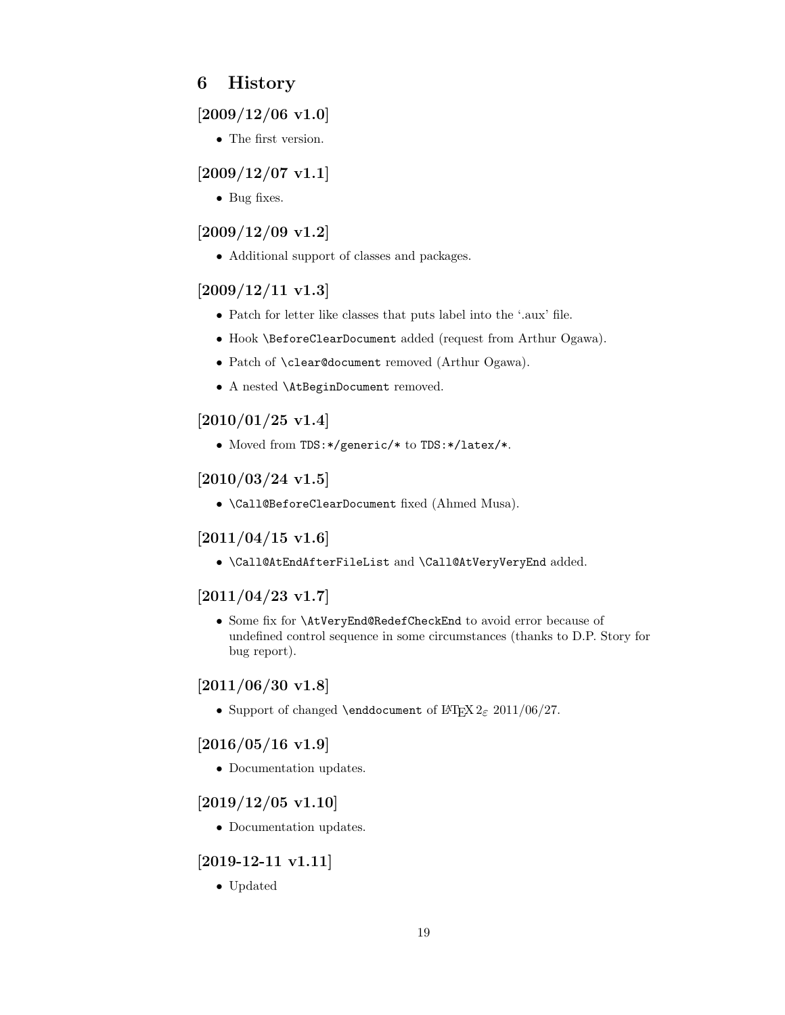## <span id="page-18-0"></span>6 History

## <span id="page-18-1"></span> $[2009/12/06 \text{ v}1.0]$

• The first version.

## <span id="page-18-2"></span> $[2009/12/07 \text{ v}1.1]$

• Bug fixes.

## <span id="page-18-3"></span>[2009/12/09 v1.2]

• Additional support of classes and packages.

## <span id="page-18-4"></span>[2009/12/11 v1.3]

- Patch for letter like classes that puts label into the '.aux' file.
- Hook \BeforeClearDocument added (request from Arthur Ogawa).
- Patch of \clear@document removed (Arthur Ogawa).
- A nested \AtBeginDocument removed.

## <span id="page-18-5"></span>[2010/01/25 v1.4]

• Moved from TDS:\*/generic/\* to TDS:\*/latex/\*.

## <span id="page-18-6"></span> $[2010/03/24 \text{ v}1.5]$

• \Call@BeforeClearDocument fixed (Ahmed Musa).

## <span id="page-18-7"></span> $[2011/04/15 \text{ v}1.6]$

• \Call@AtEndAfterFileList and \Call@AtVeryVeryEnd added.

## <span id="page-18-8"></span> $[2011/04/23 \text{ v}1.7]$

• Some fix for \AtVeryEnd@RedefCheckEnd to avoid error because of undefined control sequence in some circumstances (thanks to D.P. Story for bug report).

## <span id="page-18-9"></span>[2011/06/30 v1.8]

• Support of changed \enddocument of LATEX  $2\varepsilon$  2011/06/27.

## <span id="page-18-10"></span> $[2016/05/16 \text{ v}1.9]$

• Documentation updates.

## <span id="page-18-11"></span> $[2019/12/05 \text{ v}1.10]$

• Documentation updates.

## <span id="page-18-12"></span>[2019-12-11 v1.11]

• Updated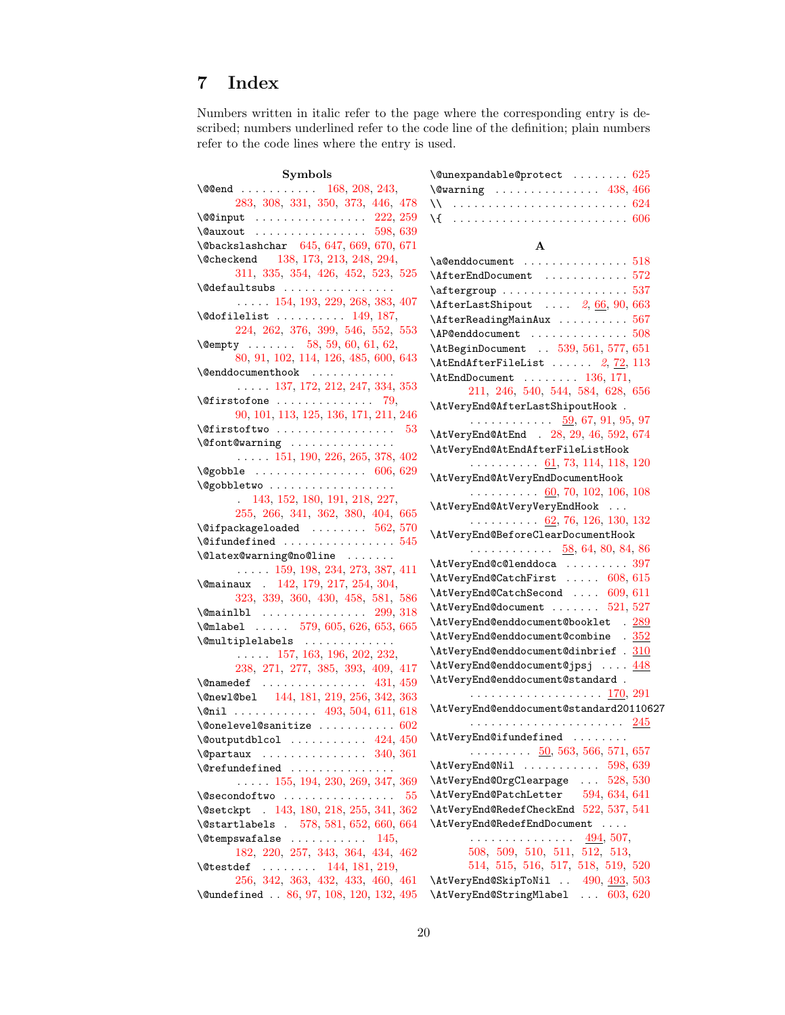# <span id="page-19-0"></span>7 Index

Numbers written in italic refer to the page where the corresponding entry is described; numbers underlined refer to the code line of the definition; plain numbers refer to the code lines where the entry is used.

 $\verb+\@unexp+ andable@protect\dots . . . . . . 625$  $\verb+\@unexp+ andable@protect\dots . . . . . . 625$ 

## Symbols

| \@@end  168, 208, 243,                                                                                                           | $\text{Vovarning} \quad \ldots \quad \ldots \quad \ldots \quad \text{438, 466}$ |
|----------------------------------------------------------------------------------------------------------------------------------|---------------------------------------------------------------------------------|
| 283, 308, 331, 350, 373, 446, 478                                                                                                | \\  624                                                                         |
| $\text{\tt \texttt{{\char'134}ll@c} \quad \quad \  \  \ldots \quad \  \  \ldots \quad \  \  \ldots \quad \  \  \text{222, 259}}$ |                                                                                 |
|                                                                                                                                  |                                                                                 |
| $\Delta$ 647, 669, 670, 671                                                                                                      | $\mathbf{A}$                                                                    |
| \@checkend 138, 173, 213, 248, 294,                                                                                              | $\a$ @enddocument  518                                                          |
| 311, 335, 354, 426, 452, 523, 525                                                                                                | $\Lambda$ fterEndDocument 572                                                   |
| \@defaultsubs                                                                                                                    | $\text{targroup} \dots \dots \dots \dots \dots \dots 537$                       |
| $\ldots$ 154, 193, 229, 268, 383, 407                                                                                            | $\Lambda$ fterLastShipout $2, 66, 90, 663$                                      |
| $\setminus$ @dofilelist  149, 187,                                                                                               | $\Lambda x$ 567                                                                 |
| 224, 262, 376, 399, 546, 552, 553                                                                                                | $\Lambda$ P@enddocument 508                                                     |
| \@empty  58, 59, 60, 61, 62,                                                                                                     | \AtBeginDocument  539, 561, 577, 651                                            |
| 80, 91, 102, 114, 126, 485, 600, 643                                                                                             | $\text{AtEndAfterFileList} \ldots \ldots \quad 2, 72, 113$                      |
|                                                                                                                                  | $\Lambda$ LendDocument  136, 171,                                               |
| $\ldots$ 137, 172, 212, 247, 334, 353                                                                                            | 211, 246, 540, 544, 584, 628, 656                                               |
| $\setminus$ @firstofone  79,                                                                                                     | \AtVeryEnd@AfterLastShipoutHook .                                               |
| 90, 101, 113, 125, 136, 171, 211, 246                                                                                            | $\cdots$ 59, 67, 91, 95, 97                                                     |
| <b>\@firstoftwo</b> $53$                                                                                                         | \AtVeryEnd@AtEnd . 28, 29, 46, 592, 674                                         |
| \@font@warning                                                                                                                   | \AtVeryEnd@AtEndAfterFileListHook                                               |
| $\ldots$ 151, 190, 226, 265, 378, 402                                                                                            | . 61, 73, 114, 118, 120                                                         |
| $\texttt{\textbackslash@gobble}\quad\ldots\ldots\ldots\ldots\ldots\quad 606,\,629$                                               | \AtVeryEnd@AtVeryEndDocumentHook                                                |
| \@gobbletwo                                                                                                                      | $\ldots$ 60, 70, 102, 106, 108                                                  |
| 143, 152, 180, 191, 218, 227,                                                                                                    | \AtVeryEnd@AtVeryVeryEndHook                                                    |
| 255, 266, 341, 362, 380, 404, 665<br>$\texttt{{\char'134}l@i}$ $562,\,570$                                                       | $\ldots \ldots \ldots$ 62, 76, 126, 130, 132                                    |
| $\setminus$ @ifundefined 545                                                                                                     | \AtVeryEnd@BeforeClearDocumentHook                                              |
| \@latex@warning@no@line                                                                                                          | $\ldots \ldots \ldots \ldots$ 58, 64, 80, 84, 86                                |
| $\ldots$ 159, 198, 234, 273, 387, 411                                                                                            | $\text{AtVeryEnd@c@lenddoca} \dots \dots \dots \ 397$                           |
| $\text{Omainaux}$ . 142, 179, 217, 254, 304,                                                                                     | \AtVeryEnd@CatchFirst  608, 615                                                 |
| 323, 339, 360, 430, 458, 581, 586                                                                                                | \AtVeryEnd@CatchSecond  609, 611                                                |
| $\text{Quant} 1$ 299, 318                                                                                                        | $\text{AtVeryEnd@document} \dots \dots \ 521,527$                               |
| \@mlabel $579, 605, 626, 653, 665$                                                                                               | \AtVeryEnd@enddocument@booklet . 289                                            |
| \@multiplelabels                                                                                                                 | \AtVeryEnd@enddocument@combine . 352                                            |
| $\ldots$ 157, 163, 196, 202, 232,                                                                                                | \AtVeryEnd@enddocument@dinbrief . 310                                           |
| 238, 271, 277, 385, 393, 409, 417                                                                                                | \AtVeryEnd@enddocument@jpsj  448                                                |
| $\lambda$ amedef  431, 459                                                                                                       | \AtVeryEnd@enddocument@standard.                                                |
| \@new1@be1 144, 181, 219, 256, 342, 363                                                                                          |                                                                                 |
| \@nil  493, 504, 611, 618                                                                                                        | \AtVeryEnd@enddocument@standard20110627                                         |
| $\text{\textbackslash@onelevel@sanitize}\ \dots\dots\dots\dots\ 602$                                                             |                                                                                 |
| $\text{\textbackslash}\mathbb{Q}$ outputdblcol $424,\,450$                                                                       | \AtVeryEnd@ifundefined                                                          |
| $\qquad$ Qpartaux  340, 361                                                                                                      | $\ldots \ldots \ldots$ 50, 563, 566, 571, 657                                   |
| \@refundefined                                                                                                                   | \AtVeryEnd@Nil  598, 639                                                        |
| $\ldots$ 155, 194, 230, 269, 347, 369                                                                                            | \AtVeryEnd@OrgClearpage  528, 530                                               |
| $\texttt{\textbackslash@secondoftwo}}$ 55                                                                                        | \AtVeryEnd@PatchLetter<br>594, 634, 641                                         |
| \@setckpt . 143, 180, 218, 255, 341, 362                                                                                         | \AtVeryEnd@RedefCheckEnd 522, 537, 541                                          |
| \@startlabels . 578, 581, 652, 660, 664                                                                                          | $\verb \AtVeryEnd@RedefEndDocument       $                                      |
| $\setminus$ @tempswafalse  145,                                                                                                  | .<br>494, 507,<br>508, 509, 510, 511, 512, 513,                                 |
| 182, 220, 257, 343, 364, 434, 462                                                                                                |                                                                                 |
| $\text{Netstdef } \ldots \ldots \quad 144, 181, 219,$                                                                            | 514, 515, 516, 517, 518, 519, 520<br>\AtVeryEnd@SkipToNil  490, 493, 503        |
| 256, 342, 363, 432, 433, 460, 461                                                                                                |                                                                                 |
| \@undefined  86, 97, 108, 120, 132, 495                                                                                          | \AtVeryEnd@StringMlabel  603, 620                                               |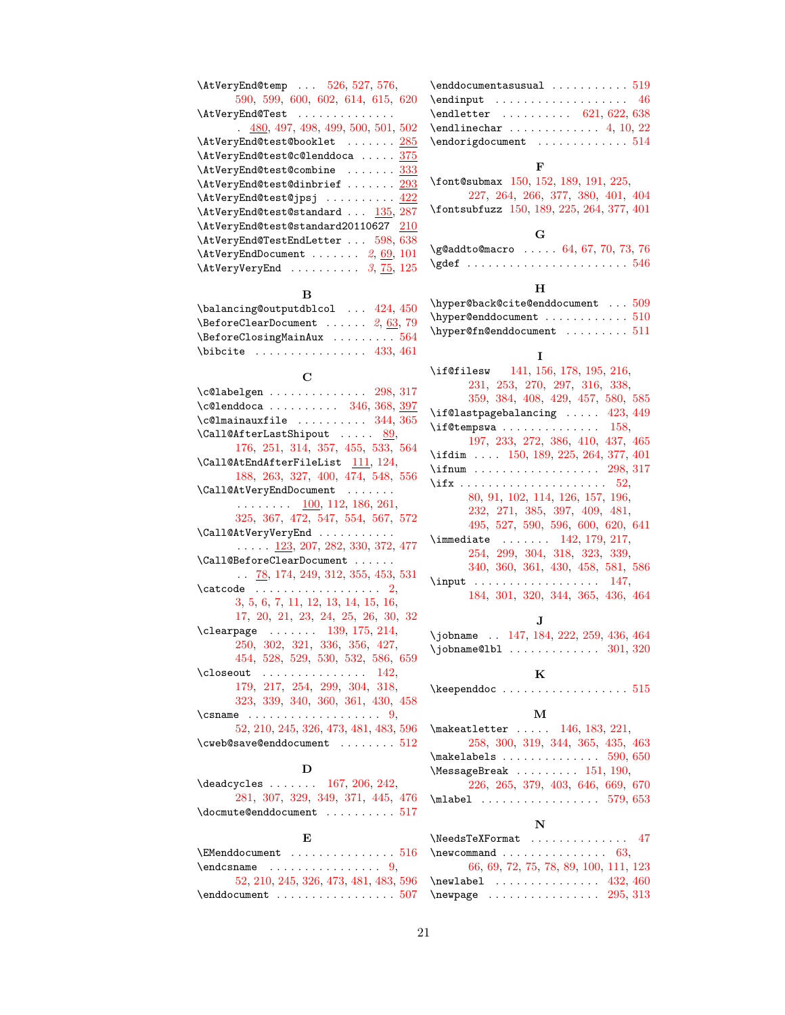| \AtVeryEnd@temp  526, 527, 576,                                       | \en   |
|-----------------------------------------------------------------------|-------|
| 590, 599, 600, 602, 614, 615, 620                                     | $\en$ |
| \AtVeryEnd@Test                                                       | \en   |
| $\frac{480}{1000}$ , 497, 498, 499, 500, 501, 502                     | \en   |
| \AtVeryEnd@test@booklet  285                                          |       |
|                                                                       | $\en$ |
| \AtVeryEnd@test@c@lenddoca  375                                       |       |
| \AtVeryEnd@test@combine  333                                          | \fo   |
| $\lambda tVeryEnd@test@dinbrief 293$                                  |       |
| \AtVeryEnd@test@jpsj  422                                             |       |
| \AtVeryEnd@test@standard  135, 287                                    | \fo   |
| \AtVeryEnd@test@standard20110627 210                                  |       |
| \AtVeryEnd@TestEndLetter  598, 638                                    |       |
| $\text{AtVeryEndDocument} \dots \dots \ 2, \underline{69}, 101$       | \g@   |
| $\text{AtVeryVery}$ 3, 75, 125                                        | \gd   |
| в                                                                     |       |
| \balancing@outputdblcol  424, 450                                     | \hy   |
| $\setminus$ BeforeClearDocument  2, 63, 79                            | \hy   |
| $\verb+\BeforeClosingMainAux + \dots + 564$                           | \hy   |
| $\big\{\n  subject\n  \n  \n  433, 461\n$                             |       |
|                                                                       |       |
| $\mathbf C$                                                           | \if   |
| $\verb+\c@labelgen+\dots+298, 317$                                    |       |
| $\text{C@lenddoca} \dots \dots \dots \quad 346, 368, \frac{397}{100}$ | \if   |
| $\verb+\cd@lmainauxfile + \ldots + \ldots + 344, 365$                 | \if   |
| $\lambda$ Call@AfterLastShipout  89,                                  |       |
| 176, 251, 314, 357, 455, 533, 564                                     |       |
| $\verb+\Call@AtEndAfterFileList 111+, 124+$                           | \if   |
| 188, 263, 327, 400, 474, 548, 556                                     | \if   |
| \Call@AtVeryEndDocument                                               | \if   |
| $\ldots$ 100, 112, 186, 261,                                          |       |
| 325, 367, 472, 547, 554, 567, 572                                     |       |
| \Call@AtVeryVeryEnd                                                   |       |
| $\ldots$ $\frac{123}{207}$ , 282, 330, 372, 477                       | \im   |
| \Call@BeforeClearDocument                                             |       |
| $\ldots$ 78, 174, 249, 312, 355, 453, 531                             |       |
|                                                                       | \in   |
| $\text{Catcode} \dots \dots \dots \dots \dots \quad 2,$               |       |
| 3, 5, 6, 7, 11, 12, 13, 14, 15, 16,                                   |       |
| 17, 20, 21, 23, 24, 25, 26, 30, 32                                    |       |
| $\verb+\clearpage+\dots+139+, 175, 214+$                              | \jo   |
| 250, 302, 321, 336, 356, 427,                                         | \jo   |
| 454, 528, 529, 530, 532, 586, 659                                     |       |
| \closeout<br>142.<br>.                                                |       |
| 179, 217, 254, 299, 304, 318,                                         | \ke   |
| 323, 339, 340, 360, 361, 430, 458                                     |       |
| $\{\text{csname} \dots \dots \dots \dots \dots \dots \dots \},\$      |       |
| 52, 210, 245, 326, 473, 481, 483, 596                                 | \ma   |
| $\text{Cweb@save@enddocument} \dots 512$                              |       |
|                                                                       | \ma   |
| D                                                                     | \Me   |

| $\deadcycles$ 167, 206, 242,       |  |  |  |  |  |                                   |  |
|------------------------------------|--|--|--|--|--|-----------------------------------|--|
|                                    |  |  |  |  |  | 281, 307, 329, 349, 371, 445, 476 |  |
| $\lambda$ docmute@enddocument  517 |  |  |  |  |  |                                   |  |

## E

| $\text{EMenddocument} \dots \dots \dots \dots \dots \dots 516$ |
|----------------------------------------------------------------|
| $\end{math}$ 9.                                                |
| 52, 210, 245, 326, 473, 481, 483, 596                          |
| $\end$ denddocument  507                                       |

| $\verb+\enddocumentasusual 519$                           |  |  |  |  |
|-----------------------------------------------------------|--|--|--|--|
| $\verb+\endinput + \verb+\+\+ \verb+\+\+ 46$              |  |  |  |  |
| $\end{letter}$ 621, 622, 638                              |  |  |  |  |
| $\verb+\endlinechar + \verb++.\+ \verb+\+.\+ 4, 10, 22$   |  |  |  |  |
| $\end{array}$ $\ldots \ldots \ldots \ \hspace{.08cm} 514$ |  |  |  |  |

## F

| \font@submax 150, 152, 189, 191, 225,     |  |                                   |  |  |
|-------------------------------------------|--|-----------------------------------|--|--|
|                                           |  | 227, 264, 266, 377, 380, 401, 404 |  |  |
| \fontsubfuzz 150, 189, 225, 264, 377, 401 |  |                                   |  |  |

## G

| \g@addto@macro  64, 67, 70, 73, 76                                                                                                                                                                                                                                                                                                                                      |  |  |  |  |  |  |  |  |
|-------------------------------------------------------------------------------------------------------------------------------------------------------------------------------------------------------------------------------------------------------------------------------------------------------------------------------------------------------------------------|--|--|--|--|--|--|--|--|
| $\hspace*{0.1em}\rule{0.7pt}{0.8em}\hspace*{0.1em}$ $\hspace*{0.1em}\rule{0.7pt}{0.8em}\hspace*{0.1em}$ $\hspace*{0.1em}\rule{0.7pt}{0.8em}\hspace*{0.1em}\hspace*{0.1em}\hspace*{0.1em}\hspace*{0.1em}\hspace*{0.1em}\hspace*{0.1em}\hspace*{0.1em}\hspace*{0.1em}\hspace*{0.1em}\hspace*{0.1em}\hspace*{0.1em}\hspace*{0.1em}\hspace*{0.1em}\hspace*{0.1em}\hspace*{$ |  |  |  |  |  |  |  |  |

## $\mathbf H$

| \hyper@back@cite@enddocument $509$                                       |  |
|--------------------------------------------------------------------------|--|
|                                                                          |  |
| $\hbox{\tt \hbox{hyperOfn\texttt{Cenddocument}}\, \ldots \ldots \, 511}$ |  |

## I

| \if@filesw 141, 156, 178, 195, 216,  |
|--------------------------------------|
| 231, 253, 270, 297, 316, 338,        |
| 359, 384, 408, 429, 457, 580, 585    |
| \if@lastpagebalancing  423, 449      |
| $\iint@tempswa  \ldots  \ldots 158,$ |
| 197, 233, 272, 386, 410, 437, 465    |
| \ifdim  150, 189, 225, 264, 377, 401 |
|                                      |
|                                      |
| 80, 91, 102, 114, 126, 157, 196,     |
| 232, 271, 385, 397, 409, 481,        |
| 495, 527, 590, 596, 600, 620, 641    |
| \immediate $ 142, 179, 217$ ,        |
| 254, 299, 304, 318, 323, 339,        |
| 340, 360, 361, 430, 458, 581, 586    |
|                                      |
| 184, 301, 320, 344, 365, 436, 464    |

## J

\jobname .. [147,](#page-5-29) [184,](#page-6-36) [222,](#page-7-2) [259,](#page-7-3) [436,](#page-11-30) [464](#page-12-32)  $\lambda$ jobname@lbl . . . . . . . . . . . . . [301,](#page-8-30) [320](#page-9-38)

## K

 $\epsilon$ ependdoc  $\ldots \ldots \ldots \ldots \ldots \ldots \ 515$  $\ldots \ldots \ldots \ldots \ldots \ldots \ 515$ 

## M

| $\mathcal{L}$ akeatletter  146, 183, 221,           |
|-----------------------------------------------------|
| 258, 300, 319, 344, 365, 435, 463                   |
|                                                     |
| $\text{MessageBreak} \dots \dots \dots \ 151, 190,$ |
| 226, 265, 379, 403, 646, 669, 670                   |
|                                                     |

## N

| \NeedsTeXFormat  47                   |  |
|---------------------------------------|--|
| $\neq 63$ ,                           |  |
| 66, 69, 72, 75, 78, 89, 100, 111, 123 |  |
| $\neq 432, 460$                       |  |
| $\neq$ 295, 313                       |  |